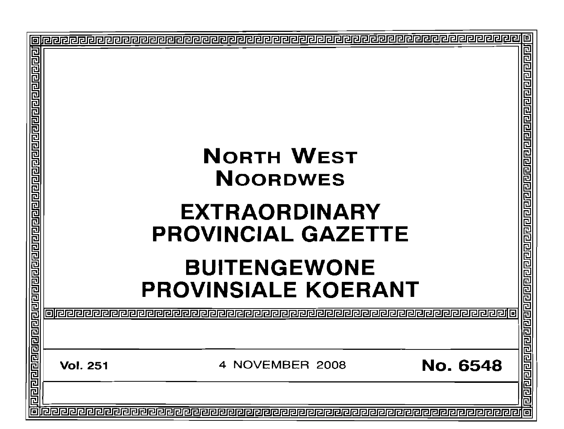| 回 |                 | <b>NORTH WEST</b><br><b>NOORDWES</b><br><b>EXTRAORDINARY</b><br><b>PROVINCIAL GAZETTE</b><br><b>BUITENGEWONE</b><br><b>PROVINSIALE KOERANT</b> |                 | 回<br>可回回回<br>민합민주민주민주민주민주민 |
|---|-----------------|------------------------------------------------------------------------------------------------------------------------------------------------|-----------------|----------------------------|
|   |                 |                                                                                                                                                |                 | वसका बाबा बाब बाबा बाब बाब |
|   | <b>Vol. 251</b> | 4 NOVEMBER 2008                                                                                                                                | <b>No. 6548</b> |                            |
| 同 |                 |                                                                                                                                                |                 | 同                          |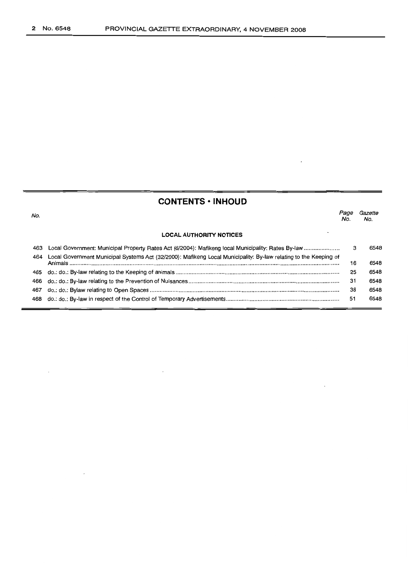# **CONTENTS • INHOUD**

No. **LOCAL AUTHORITY NOTICES** Page Gazette No. No. 463 Local Government: Municipal Property Rates Act (6/2004): Mafikeng local Municipality: Rates By-law . 464 Local Government Municipal Systems Act (32/2000): Mafikeng Local Municipality: By-law relating to the Keeping of Animals . 465 do.: do.: By-law relating to the Keeping of animals . 466 do.: do.: By-law relating to the Prevention of Nuisances .. 467 do.: do.: Bylaw relating to Open Spaces .. 468 do.: do.: By-law in respect of the Control of Temporary Advertisements . 3 6548 16 6548 25 6548 31 6548 38 6548 51 6548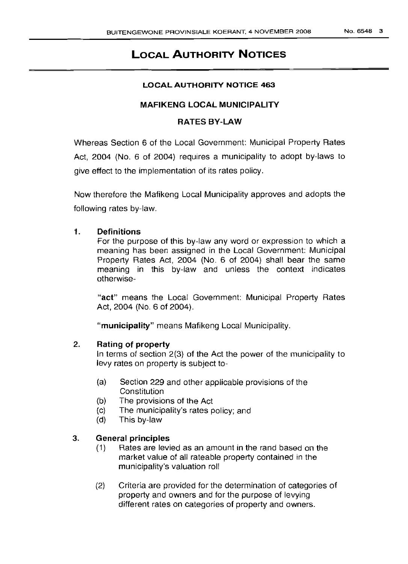# **LOCAL AUTHORITY NOTICES**

# **LOCAL AUTHORITY NOTICE 463**

# **MAFIKENG LOCAL MUNICIPALITY**

# **RATES BY-LAW**

Whereas Section 6 of the Local Government: Municipal Property Rates Act, 2004 (No.6 of 2004) requires a municipality to adopt by-laws to give effect to the implementation of its rates policy.

Now therefore the Mafikeng Local Municipality approves and adopts the following rates by-law.

# 1. **Definitions**

For the purpose of this by-law any word or expression to which a meaning has been assigned in the Local Government: Municipal Property Rates Act, 2004 (No.6 of 2004) shall bear the same meaning in this by-law and unless the context indicates otherwise-

"act" means the Local Government: Municipal Property Rates Act, 2004 (No.6 of 2004).

**"municipality"** means Mafikeng Local Municipality.

# 2. **Rating of property**

In terms of section 2(3) of the Act the power of the municipality to levy rates on property is subject to-

- (a) Section 229 and other applicable provisions of the **Constitution**
- (b) The provisions of the Act
- (c) The municipality's rates policy; and
- (d) This by-law

# 3. **General principles**

- (1) Rates are levied as an amount in the rand based on the market value of all rateable property contained in the municipality's valuation roll
- (2) Criteria are provided for the determination of categories of property and owners and for the purpose of levying different rates on categories of property and owners.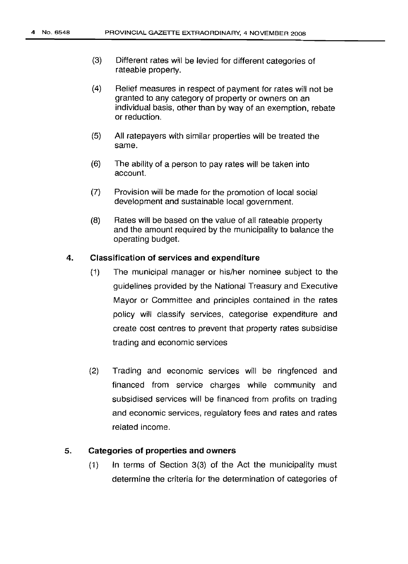- (3) Different rates will be levied for different categories of rateable property.
- (4) Relief measures in respect of payment for rates will not be granted to any category of property or owners on an individual basis, other than by way of an exemption, rebate or reduction.
- (5) All ratepayers with similar properties will be treated the same.
- (6) The ability of a person to pay rates will be taken into account.
- (7) Provision will be made for the promotion of local social development and sustainable local government.
- (8) Rates will be based on the value of all rateable property and the amount required by the municipality to balance the operating bUdget.

# 4. **Classification of services and expenditure**

- (1) The municipal manager or his/her nominee subject to the guidelines provided by the National Treasury and Executive Mayor or Committee and principles contained in the rates policy will classify services, categorise expenditure and create cost centres to prevent that property rates subsidise trading and economic services
- (2) Trading and economic services will be ringfenced and financed from service charges while community and subsidised services will be financed from profits on trading and economic services, regulatory fees and rates and rates related income.

# 5. **Categories of properties and owners**

(1) In terms of Section 3(3) of the Act the municipality must determine the criteria for the determination of categories of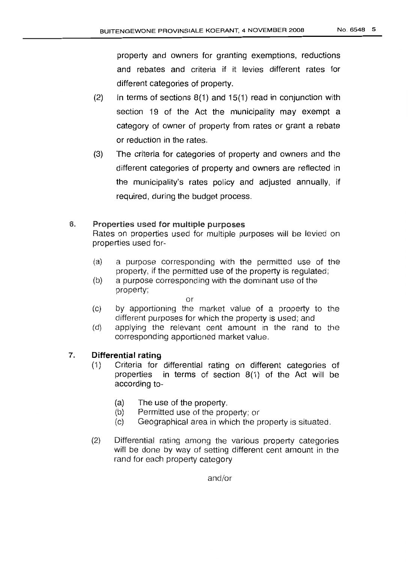property and owners for granting exemptions, reductions and rebates and criteria if it levies different rates for different categories of property.

- (2) In terms of sections  $8(1)$  and  $15(1)$  read in conjunction with section 19 of the Act the municipality may exempt a category of owner of property from rates or grant a rebate or reduction in the rates.
- (3) The criteria for categories of property and owners and the different categories of property and owners are reflected in the municipality's rates policy and adjusted annually, if required, during the budget process.

# 6. Properties used for multiple purposes

Rates on properties used for multiple purposes will be levied on properties used for-

- (a) a purpose corresponding with the permitted use of the property, if the permitted use of the property is regulated;
- (b) a purpose corresponding with the dominant use of the property;

or

- (c) by apportioning the market value of a property to the different purposes for which the property is used; and
- (d) applying the relevant cent amount in the rand to the corresponding apportioned market value.

# 7. **Differential rating**

- (1) Criteria for differential rating on different categories of properties in terms of section 8(1) of the Act will be according to-
	- (a) The use of the property.
	- (b) Permitted use of the property; or
	- (c) Geographical area in which the property is situated.
- (2) Differential rating among the various property categories will be done by way of setting different cent amount in the rand for each property category

and/or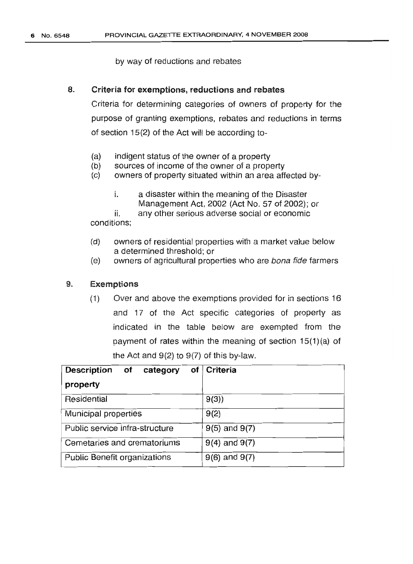# by way of reductions and rebates

# 8. Criteria for exemptions, reductions and rebates

Criteria for determining categories of owners of property for the purpose of granting exemptions, rebates and reductions in terms of section 15(2) of the Act will be according to-

- (a) indigent status of the owner of a property
- $(b)$  sources of income of the owner of a property
- (c) owners of property situated within an area affected by
	- i. a disaster within the meaning of the Disaster Management Act, 2002 (Act No. 57 of 2002); or

ii. conditions; any other serious adverse social or economic

- (d) owners of residential properties with a market value below a determined threshold; or
- (e) owners of agricultural properties who are bona fide farmers

# 9. Exemptions

(1) Over and above the exemptions provided for in sections 16 and 17 of the Act specific categories of property as indicated in the table below are exempted from the payment of rates within the meaning of section 15(1)(a) of the Act and  $9(2)$  to  $9(7)$  of this by-law.

| Description of<br>category     | of   Criteria     |
|--------------------------------|-------------------|
| property                       |                   |
| Residential                    | 9(3)              |
| Municipal properties           | 9(2)              |
| Public service infra-structure | $9(5)$ and $9(7)$ |
| Cemetaries and crematoriums    | $9(4)$ and $9(7)$ |
| Public Benefit organizations   | $9(6)$ and $9(7)$ |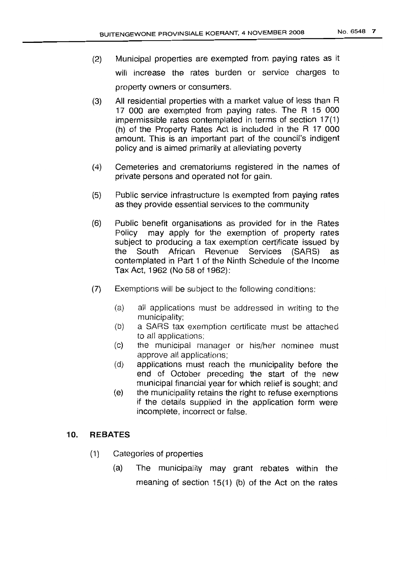- (2) Municipal properties are exempted from paying rates as it will increase the rates burden or service charges to property owners or consumers.
- (3) All residential properties with a market value of less than R 17 000 are exempted from paying rates. The R 15 000 impermissible rates contemplated in terms of section 17(1) (h) of the Property Rates Act is included in the R 17 000 amount. This is an important part of the council's indigent policy and is aimed primarily at alleviating poverty
- (4) Cemeteries and crematoriums registered in the names of private persons and operated not for gain.
- (5) Public service infrastructure Is exempted from paying rates as they provide essential services to the community
- (6) Public benefit organisations as provided for in the Rates Policy may apply for the exemption of property rates subject to producing a tax exemption certificate issued by the South African Revenue Services (SARS) as contemplated in Part 1 of the Ninth Schedule of the Income Tax Act, 1962 (No 58 of 1962):
- (7) Exemptions will be subject to the following conditions:
	- (a) all applications must be addressed in writing to the municipality;
	- (b) a SARS tax exemption certificate must be attached to all applications;
	- (c) the municipal manager or his/her nominee must approve all applications;
	- (d) applications must reach the municipality before the end of October preceding the start of the new municipal financial year for which relief is sought; and
	- (e) the municipality retains the right to refuse exemptions if the details supplied in the application form were incomplete, incorrect or false.

# 10. **REBATES**

- (1) Categories of properties
	- (a) The municipality may grant rebates within the meaning of section 15(1) (b) of the Act on the rates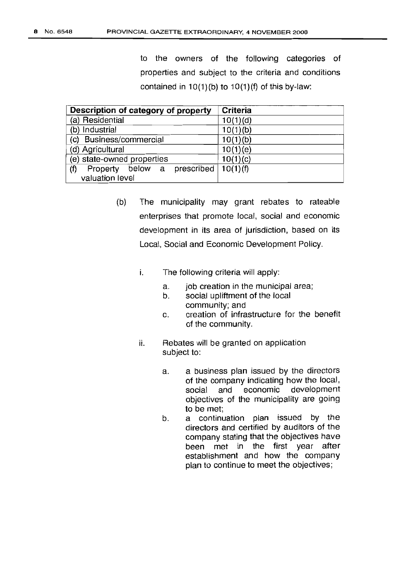to the owners of the following categories of properties and subject to the criteria and conditions contained in  $10(1)(b)$  to  $10(1)(f)$  of this by-law:

| Description of category of property              | Criteria |
|--------------------------------------------------|----------|
| (a) Residential                                  | 10(1)(d) |
| (b) Industrial                                   | 10(1)(b) |
| (c) Business/commercial                          | 10(1)(b) |
| (d) Agricultural                                 | 10(1)(e) |
| (e) state-owned properties                       | 10(1)(c) |
| (f)<br>below a prescribed $10(1)(f)$<br>Property |          |
| valuation level                                  |          |

- (b) The municipality may grant rebates to rateable enterprises that promote local, social and economic development in its area of jurisdiction, based on its Local, Social and Economic Development Policy.
	- i. The following criteria will apply:
		- a. job creation in the municipal area;
		- b. social upliftment of the local community; and
		- c. creation of infrastructure for the benefit of the community.
	- ii. Rebates will be granted on application subject to:
		- a. a business plan issued by the directors of the company indicating how the local, social and economic development objectives of the municipality are going to be met;
		- b. a continuation plan issued by the directors and certified by auditors of the company stating that the objectives have been met in the first year after establishment and how the company plan to continue to meet the objectives;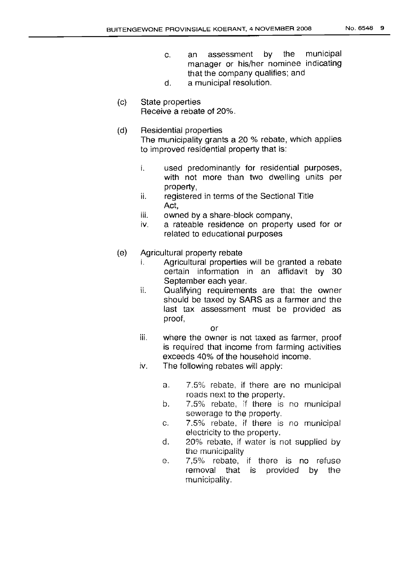- c. an assessment by the municipal manager or his/her nominee indicating that the company qualifies; and
- d. a municipal resolution.
- (c) State properties Receive a rebate of 20%.
- (d) Residential properties The municipality grants a 20 % rebate, which applies to improved residential property that is:
	- i. used predominantly for residential purposes, with not more than two dwelling units per property,
	- ii. registered in terms of the Sectional Title Act,
	- iii. owned by a share-block company,
	- iv. a rateable residence on property used for or related to educational purposes
- (e) Agricultural property rebate
	- i. Agricultural properties will be granted a rebate certain information in an affidavit by 30 September each year.
	- ii. Qualifying requirements are that the owner should be taxed by SARS as a farmer and the last tax assessment must be provided as proof,

or

- iii. where the owner is not taxed as farmer, proof is required that income from farming activities exceeds 40% of the household income.
- iv. The following rebates will apply:
	- a. 7.5% rebate, if there are no municipal roads next to the property.
	- b. 7.5% rebate, if there is no municipal sewerage to the property.
	- c. 7.5% rebate, if there is no municipal electricity to the property.
	- d. 20% rebate, if water is not supplied by the municipality
	- e. 7,5% rebate, if there is no refuse removal that is provided by the municipality.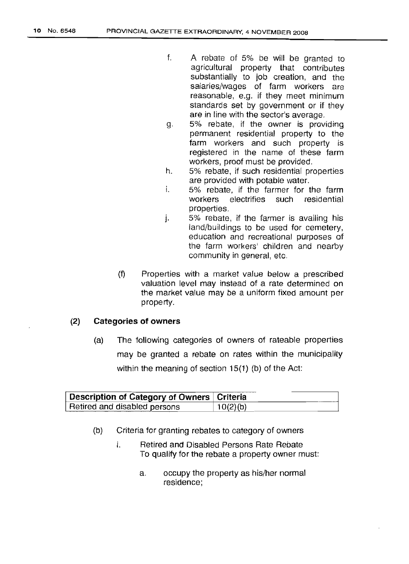- f. A rebate of 5% be will be granted to agricultural property that contributes substantially to job creation, and the salaries/wages of farm workers are reasonable, e.g. if they meet minimum standards set by government or if they are in line with the sector's average.
- g. 5% rebate, if the owner is providing permanent residential property to the farm workers and such property is registered in the name of these farm workers, proof must be provided.
- h. 5% rebate, if such residential properties are provided with potable water.
- i. 5% rebate, if the farmer for the farm workers electrifies such residential properties.
- j. 5% rebate, if the farmer is availing his land/buildings to be used for cemetery, education and recreational purposes of the farm workers' children and nearby community in general, etc.
- (f) Properties with a market value below a prescribed valuation level may instead of a rate determined on the market value may be a uniform fixed amount per property.

# **(2) Categories of owners**

(a) The following categories of owners of rateable properties may be granted a rebate on rates within the municipality within the meaning of section 15(1) (b) of the Act:

| Description of Category of Owners   Criteria |          |
|----------------------------------------------|----------|
| Retired and disabled persons                 | 10(2)(b) |

- (b) Criteria for granting rebates to category of owners
	- i. Retired and Disabled Persons Rate Rebate To qualify for the rebate a property owner must:
		- a. occupy the property as his/her normal residence;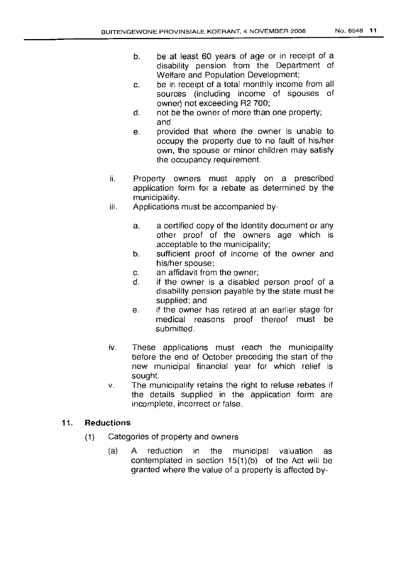- b. be at least 60 years of age or in receipt of a disability pension from the Department of Welfare and Population Development;
- c. be in receipt of a total monthly income from all sources (including income of spouses of owner) not exceeding R2 700;
- d. not be the owner of more than one property; and
- e. provided that where the owner is unable to occupy the property due to no fault of his/her own, the spouse or minor children may satisfy the occupancy requirement.
- ii. Property owners must apply on a prescribed application form for a rebate as determined by the municipality.
- iii. Applications must be accompanied by
	- a. a certified copy of the identity document or any other proof of the owners age which is acceptable to the municipality;
	- b. sufficient proof of income of the owner and his/her spouse;
	- c. an affidavit from the owner;
	- d. if the owner is a disabled person proof of a disability pension payable by the state must be supplied; and
	- e. if the owner has retired at an earlier stage for medical reasons proof thereof must be submitted.
- iv. These applications must reach the municipality before the end of October preceding the start of the new municipal financial year for which relief is sought.
- v. The municipality retains the right to refuse rebates if the details supplied in the application form are incomplete, incorrect or false.

# 11. Reductions

- (1) Categories of property and owners
	- $(a)$  A reduction in the municipal valuation as contemplated in section 15(1)(b) of the Act will be granted where the value of a property is affected by-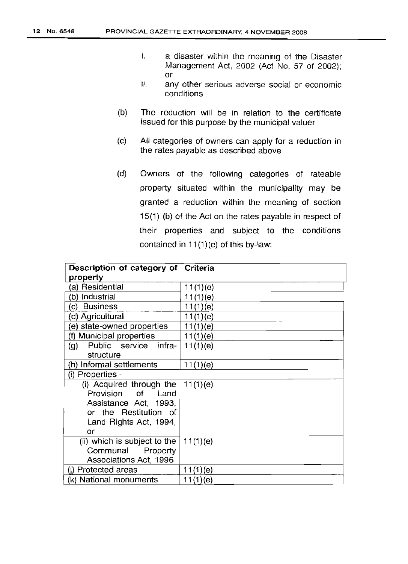- l. a disaster within the meaning of the Disaster Management Act, 2002 (Act No. 57 of 2002); or
- ii. any other serious adverse social or economic conditions
- (b) The reduction will be in relation to the certificate issued for this purpose by the municipal valuer
- (c) All categories of owners can apply for a reduction in the rates payable as described above
- (d) Owners of the following categories of rateable property situated within the municipality may be granted a reduction within the meaning of section 15(1) (b) of the Act on the rates payable in respect of their properties and subject to the conditions contained in 11(1)(e) of this by-law:

| Description of category of                 | <b>Criteria</b> |
|--------------------------------------------|-----------------|
| property                                   |                 |
| (a) Residential                            | 11(1)(e)        |
| (b) Industrial                             | 11(1)(e)        |
| (c) Business                               | 11(1)(e)        |
| (d) Agricultural                           | 11(1)(e)        |
| (e) state-owned properties                 | 11(1)(e)        |
| (f) Municipal properties                   | 11(1)(e)        |
| Public service infra-<br>$\left( 9\right)$ | 11(1)(e)        |
| structure                                  |                 |
| (h) Informal settlements                   | 11(1)(e)        |
| (i) Properties -                           |                 |
| (i) Acquired through the                   | 11(1)(e)        |
| of<br>Provision<br>Land                    |                 |
| Assistance Act, 1993,                      |                 |
| or the Restitution of                      |                 |
| Land Rights Act, 1994,                     |                 |
| or                                         |                 |
| (ii) which is subject to the               | 11(1)(e)        |
| Communal<br>Property                       |                 |
| Associations Act, 1996                     |                 |
| (i) Protected areas                        | 11(1)(e)        |
| (k) National monuments                     | 11(1)(e)        |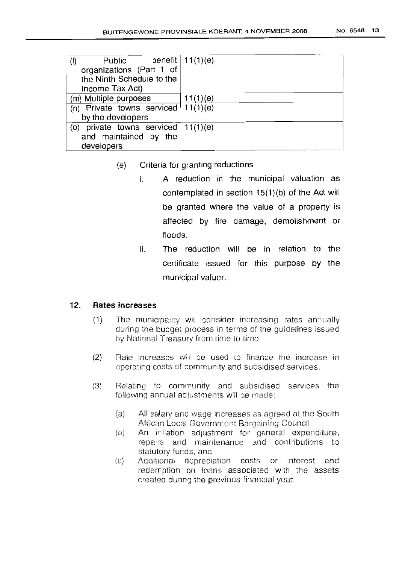| Public<br>$($ l $)$                     | benefit $\vert 11(1)(e) \vert$ |
|-----------------------------------------|--------------------------------|
| organizations (Part 1 of                |                                |
| the Ninth Schedule to the               |                                |
| Income Tax Act)                         |                                |
| (m) Multiple purposes                   | 11(1)(e)                       |
| (n) Private towns serviced $  11(1)(e)$ |                                |
| by the developers                       |                                |
| (o) private towns serviced $ 11(1)(e) $ |                                |
| and maintained by the                   |                                |
| developers                              |                                |

- **(e) Criteria for granting reductions**
	- i. **A reduction in the municipal valuation as contemplated in section 15(1 )(b) of the Act will be granted where the value of a property is affected by fire damage, demolishment or floods.**
	- **ii. The reduction will be in relation to the certificate issued for this purpose by the municipal valuer.**

# **12. Rates increases**

- (1) The municipality wiil consider increasing rates annually during the budget process in terms of the quldelines issued by National Treasury from time to time,
- $(2)$  Rate increases will be used to finance the increase in operating costs of community and subsidised services.
- (3) Relating to community and subsidised services the following annual adjustments will be made:
	- (a) All salary and wage increases as agreed at the South African Local Government Bargaining Council
	- (b) An inflation adjustment for general expenditure. repairs and maintenance and contributions to statutory funds, and
	- (c) Additional depreciation costs or interest and redemption on loans associated with the assets created during the previous financial year.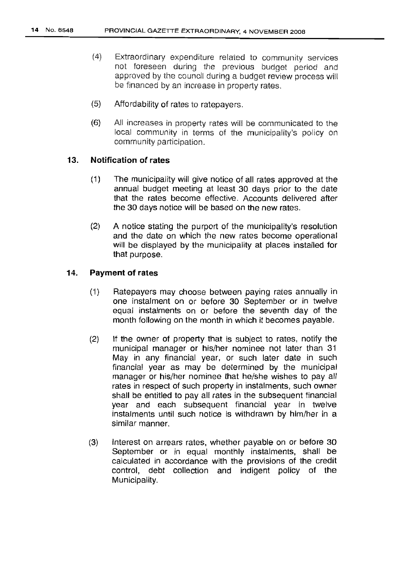- (4) Extraordinary expenditure related to community services not foreseen during the previous budget period and approved by the council during a budget review process will be financed by an increase in property rates.
- (5) Affordability of rates to ratepayers.
- (6) All increases in property rates wi!! be communicated to the local community in terms of the municipality's policy on community participation.

# **13. Notification of rates**

- (1) The municipality will give notice of all rates approved at the annual budget meeting at least 30 days prior to the date that the rates become effective. Accounts delivered after the 30 days notice will be based on the new rates.
- (2) A notice stating the purport of the municipality's resolution and the date on which the new rates become operational will be displayed by the municipality at places installed for that purpose.

# **14. Payment of rates**

- (1) Ratepayers may choose between paying rates annually in one instalment on or before 30 September or in twelve equal instalments on or before the seventh day of the month following on the month in which it becomes payable.
- (2) If the owner of property that is subject to rates, notify the municipal manager or his/her nominee not later than 31 May in any financial year, or such later date in such financial year as may be determined by the municipal manager or his/her nominee that he/she wishes to pay all rates in respect of such property in instalments, such owner shall be entitled to pay all rates in the subsequent financial year and each subsequent financial year in twelve instalments until such notice is withdrawn by him/her in a similar manner.
- (3) Interest on arrears rates, whether payable on or before 30 September or in equal monthly instalments, shall be calculated in accordance with the provisions of the credit control, debt collection and indigent policy of the Municipality.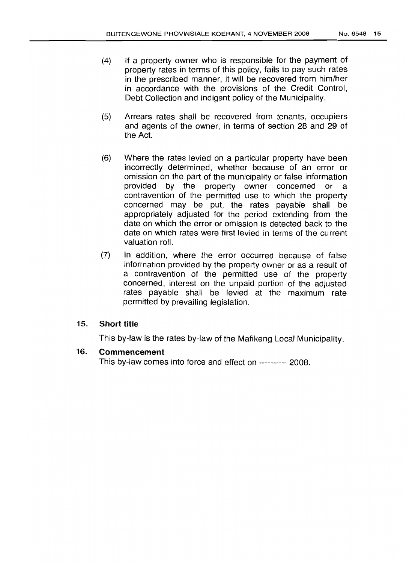- (4) If a property owner who is responsible for the payment of property rates in terms of this policy, fails to pay such rates in the prescribed manner, it will be recovered from him/her in accordance with the provisions of the Credit Control, Debt Collection and indigent policy of the Municipality.
- (5) Arrears rates shall be recovered from tenants, occupiers and agents of the owner, in terms of section 28 and 29 of the Act.
- (6) Where the rates levied on a particular property have been incorrectly determined, whether because of an error or omission on the part of the municipality or false information provided by the property owner concerned or a contravention of the permitted use to which the property concerned may be put, the rates payable shall be appropriately adjusted for the period extending from the date on which the error or omission is detected back to the date on which rates were first levied in terms of the current valuation roll.
- (7) In addition, where the error occurred because of false information provided by the property owner or as a result of a contravention of the permitted use of the property concerned, interest on the unpaid portion of the adjusted rates payable shall be levied at the maximum rate permitted by prevailing legislation.

# 15. Short title

This by-law is the rates by-law of the Mafikeng Local Municipality.

# 16. Commencement

This by-law comes into force and effect on ---------- 2008.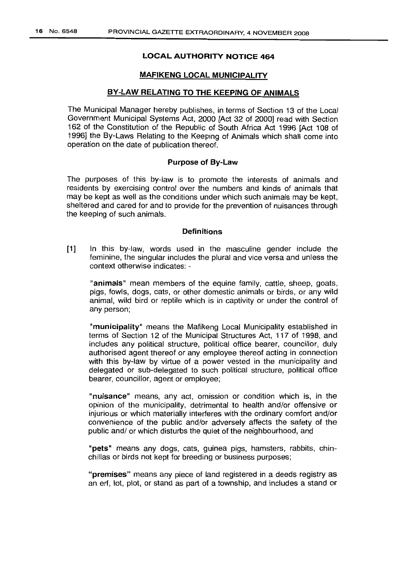# **LOCAL AUTHORITY NOTICE 464**

### **MAFIKENG LOCAL MUNICIPALITY**

#### **BY-LAW RELATING TO THE KEEPING OF ANIMALS**

The Municipal Manager hereby publishes, in terms of Section 13 of the Local Government Municipal Systems Act, 2000 [Act 32 of 2000] read with Section 162 of the Constitution of the Republic of South Africa Act 1996 [Act 108 of 1996] the By-Laws Relating to the Keeping of Animals which shall come into operation on the date of publication thereof.

#### **Purpose of By-Law**

The purposes of this by-law is to promote the interests of animals and residents by exercising control over the numbers and kinds of animals that may be kept as well as the conditions under which such animals may be kept, sheltered and cared for and to provide for the prevention of nuisances through the keeping of such animals.

#### **Definitions**

**[1]** In this by-law, words used in the masculine gender include the feminine, the singular includes the plural and vice versa and unless the context otherwise indicates: -

**"animals"** mean members of the equine family, cattle, sheep, goats, pigs, fowls, dogs, cats, or other domestic animals or birds, or any wild animal, wild bird or reptile which is in captivity or under the control of any person;

**"municipality"** means the Mafikeng Local Municipality established in terms of Section 12 of the Municipal Structures Act, 117 of 1998, and includes any political structure, political office bearer, councillor, duly authorised agent thereof or any employee thereof acting in connection with this by-law by virtue of a power vested in the municipality and delegated or sub-delegated to such political structure, political office bearer, councillor, agent or employee;

**"nuisance"** means, any act, omission or condition which is, in the opinion of the municipality, detrimental to health and/or offensive or injurious or which materially interferes with the ordinary comfort and/or convenience of the public and/or adversely affects the safety of the public and/ or which disturbs the quiet of the neighbourhood, and

**"pets"** means any dogs, cats, guinea pigs, hamsters, rabbits, chinchillas or birds not kept for breeding or business purposes;

**"premises"** means any piece of land registered in a deeds registry as an erf, lot, plot, or stand as part of a township, and includes a stand or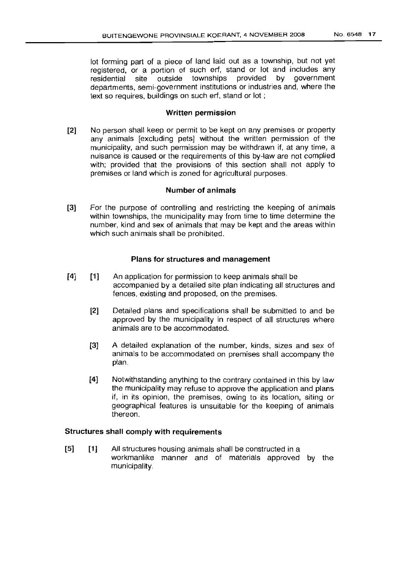lot forming part of a piece of land laid out as a township, but not yet registered, or a portion of such erf, stand or lot and includes any residential site outside townships provided by government departments, semi-government institutions or industries and, where the text so requires, buildings on such erf, stand or lot;

#### Written permission

[2] No person shall keep or permit to be kept on any premises or property any animals [excluding pets] without the written permission of the municipality, and such permission may be withdrawn if, at any time, a nuisance is caused or the requirements of this by-law are not complied with; provided that the provisions of this section shall not apply to premises or land which is zoned for agricultural purposes.

#### Number of animals

[3] For the purpose of controlling and restricting the keeping of animals within townships, the municipality may from time to time determine the number, kind and sex of animals that may be kept and the areas within which such animals shall be prohibited.

#### Plans for structures and management

- [4] [1] An application for permission to keep animals shall be accompanied by a detailed site plan indicating all structures and fences, existing and proposed, on the premises.
	- [2] Detailed plans and specifications shall be submitted to and be approved by the municipality in respect of all structures where animals are to be accommodated.
	- [3] A detailed explanation of the number, kinds, sizes and sex of animals to be accommodated on premises shall accompany the plan.
	- [4J Notwithstanding anything to the contrary contained in this by law the municipality may refuse to approve the application and plans if, in its opinion, the premises, owing to its location, siting or geographical features is unsuitable for the keeping of animals thereon.

# Structures shall comply with requirements

[5] [1J All structures housing animals shall be constructed in a workmanlike manner and of materials approved by the municipality.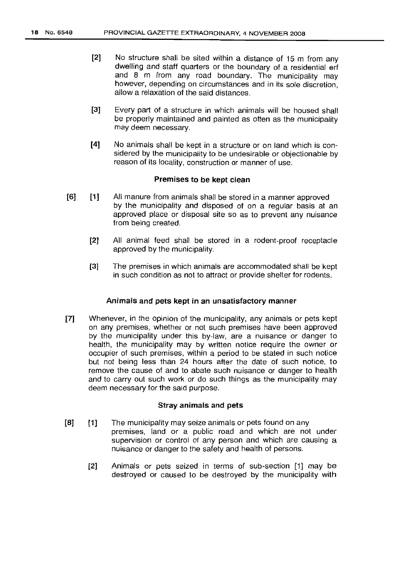- [2] No structure shall be sited within a distance of 15 m from any dwelling and staff quarters or the boundary of a residential erf and 8 m from any road boundary. The municipality may however, depending on circumstances and in its sole discretion, allow a relaxation of the said distances.
- [3] Every part of a structure in which animals will be housed shall be properly maintained and painted as often as the municipality may deem necessary.
- [4] No animals shall be kept in a structure or on land which is considered by the municipality to be undesirable or objectionable by reason of its locality, construction or manner of use.

#### Premises to be kept clean

- [6] [1] All manure from animals shall be stored in a manner approved by the municipality and disposed of on a regular basis at an approved place or disposal site so as to prevent any nuisance from being created.
	- [2] All animal feed shall be stored in a rodent-proof receptacle approved by the municipality.
	- [3] The premises in which animals are accommodated shall be kept in such condition as not to attract or provide shelter for rodents.

#### Animals and pets kept in an unsatisfactory manner

[7] Whenever, in the opinion of the municipality, any animals or pets kept on any premises, whether or not such premises have been approved by the municipality under this by-law, are a nuisance or danger to health, the municipality may by written notice require the owner or occupier of such premises, within a period to be stated in such notice but not being less than 24 hours after the date of such notice, to remove the cause of and to abate such nuisance or danger to health and to carry out such work or do such things as the municipality may deem necessary for the said purpose.

#### Stray animals and pets

- [8] [1] The municipality may seize animals or pets found on any premises, land or a public road and which are not under supervision or control of any person and which are causing a nuisance or danger to the safety and health of persons.
	- [2] Animals or pets seized in terms of sub-section [1] may be destroyed or caused to be destroyed by the municipality with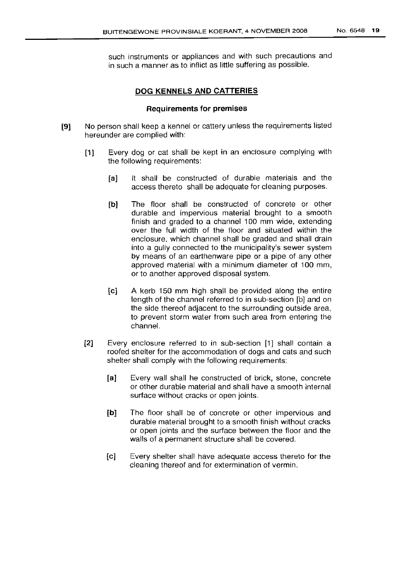such instruments or appliances and with such precautions and in such a manner as to inflict as little suffering as possible.

# **DOG KENNELS AND CATTERIES**

#### **Requirements for premises**

- **[9]** No person shall keep a kennel or cattery unless the requirements listed hereunder are complied with:
	- **[1]** Every dog or cat shall be kept in an enclosure complying with the following requirements:
		- **[a]** It shall be constructed of durable materials and the access thereto shall be adequate for cleaning purposes.
		- **[b]** The floor shall be constructed of concrete or other durable and impervious material brought to a smooth finish and graded to a channel 100 mm wide, extending over the full width of the floor and situated within the enclosure, which channel shall be graded and shall drain into a gully connected to the municipality's sewer system by means of an earthenware pipe or a pipe of any other approved material with a minimum diameter of 100 mm, or to another approved disposal system.
		- [c] A kerb 150 mm high shall be provided along the entire length of the channel referred to in sub-section [b] and on the side thereof adjacent to the surrounding outside area, to prevent storm water from such area from entering the channel.
	- [2] Every enclosure referred to in sub-section [1] shall contain a roofed shelter for the accommodation of dogs and cats and such shelter shall comply with the following requirements:
		- **[a]** Every wall shall he constructed of brick, stone, concrete or other durable material and shall have a smooth internal surface without cracks or open joints.
		- [b] The floor shall be of concrete or other impervious and durable material brought to a smooth finish without cracks or open joints and the surface between the floor and the walls of a permanent structure shall be covered.
		- [c] Every shelter shall have adequate access thereto for the cleaning thereof and for extermination of vermin.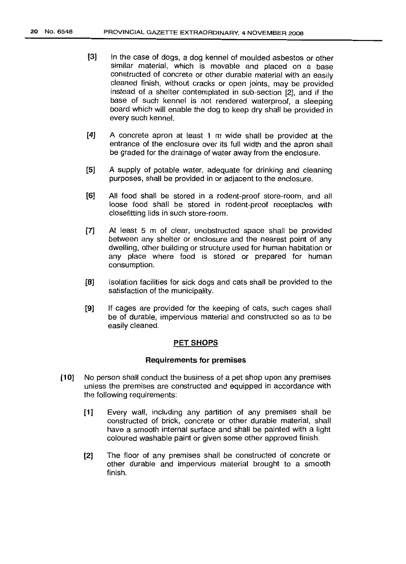- [3] In the case of dogs, a dog kennel of moulded asbestos or other similar material, which is movable and placed on a base constructed of concrete or other durable material with an easily cleaned finish, without cracks or open joints, may be provided instead of a shelter contemplated in sub-section [2], and if the base of such kennel is not rendered waterproof, a sleeping board which will enable the dog to keep dry shall be provided in every such kennel.
- [4] A concrete apron at least 1 m wide shall be provided at the entrance of the enclosure over its full width and the apron shall be graded for the drainage of water away from the enclosure.
- [5] A supply of potable water, adequate for drinking and cleaning purposes, shall be provided in or adjacent to the enclosure.
- [6] All food shall be stored in a rodent-proof store-room, and all loose food shall be stored in rodent-proof receptacles with closefittinq lids in such store-room.
- [7] At least 5 m of clear, unobstructed space shall be provided between any shelter or enclosure and the nearest point of any dwelling, other building or structure used for human habitation or any place where food is stored or prepared for human consumption.
- [8] Isolation facilities for sick dogs and cats shall be provided to the satisfaction of the municipality.
- [9] If cages are provided for the keeping of cats, such cages shall be of durable, impervious material and constructed so as to be easily cleaned.

#### PET SHOPS

#### Requirements for premises

- [10] No person shall conduct the business of a pet shop upon any premises unless the premises are constructed and equipped in accordance with the following requirements:
	- [1] Every wall, including any partition of any premises shall be constructed of brick, concrete or other durable material, shall have a smooth internal surface and shall be painted with a light coloured washable paint or given some other approved finish.
	- [2] The floor of any premises shall be constructed of concrete or other durable and impervious material brought to a smooth finish.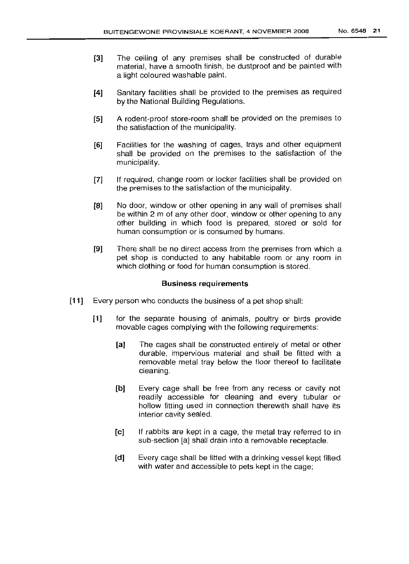- [3] The ceiling of any premises shall be constructed of durable material, have a smooth finish, be dustproof and be painted with a light coloured washable paint.
- [4] Sanitary facilities shall be provided to the premises as required by the National Building Regulations.
- [5] A rodent-proof store-room shall be provided on the premises to the satisfaction of the municipality.
- [6] Facilities for the washing of cages, trays and other equipment shall be provided on the premises to the satisfaction of the municipality.
- [7] If required, change room or locker facilities shall be provided on the premises to the satisfaction of the municipality.
- [8] No door, window or other opening in any wall of premises shall be within 2 m of any other door, window or other opening to any other building in which food is prepared, stored or sold for human consumption or is consumed by humans.
- [9] There shall be no direct access from the premises from which a pet shop is conducted to any habitable room or any room in which clothing or food for human consumption is stored.

#### Business requirements

- [11] Every person who conducts the business of a pet shop shall:
	- [1] for the separate housing of animals, poultry or birds provide movable cages complying with the following requirements:
		- [a] The cages shall be constructed entirely of metal or other durable, impervious material and shall be fitted with a removable metal tray below the floor thereof to facilitate cleaning.
		- [b] Every cage shall be free from any recess or cavity not readily accessible for cleaning and every tubular or hollow fitting used in connection therewith shall have its interior cavity sealed.
		- [e] If rabbits are kept in a cage, the metal tray referred to in sub-section [a] shall drain into a removable receptacle.
		- [d] Every cage shall be fitted with a drinking vessel kept filled with water and accessible to pets kept in the cage: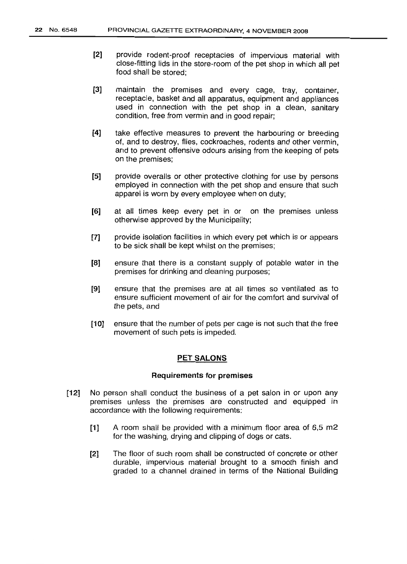- [2] provide rodent-proof receptacles of impervious material with close-fitting lids in the store-room of the pet shop in which all pet food shall be stored;
- [3] maintain the premises and every cage, tray, container, receptacle, basket and all apparatus, equipment and appliances used in connection with the pet shop in a clean, sanitary condition, free from vermin and in good repair;
- [4] take effective measures to prevent the harbouring or breeding of, and to destroy, flies, cockroaches, rodents and other vermin, and to prevent offensive odours arising from the keeping of pets on the premises;
- [5] provide overalls or other protective clothing for use by persons employed in connection with the pet shop and ensure that such apparel is worn by every employee when on duty;
- [6] at all times keep every pet in or on the premises unless otherwise approved by the Municipality;
- [7] provide isolation facilities in which every pet which is or appears to be sick shall be kept whilst on the premises;
- [8] ensure that there is a constant supply of potable water in the premises for drinking and cleaning purposes;
- [9] ensure that the premises are at all times so ventilated as to ensure sufficient movement of air for the comfort and survival of the pets, and
- [10J ensure that the number of pets per cage is not such that the free movement of such pets is impeded.

#### PET SALONS

#### Requirements for premises

- [12] No person shall conduct the business of a pet salon in or upon any premises unless the premises are constructed and equipped in accordance with the following requirements:
	- [1] A room shall be provided with a minimum floor area of 6,5 m2 for the washing, drying and clipping of dogs or cats.
	- [2] The floor of such room shall be constructed of concrete or other durable, impervious material brought to a smooth finish and graded to a channel drained in terms of the National Building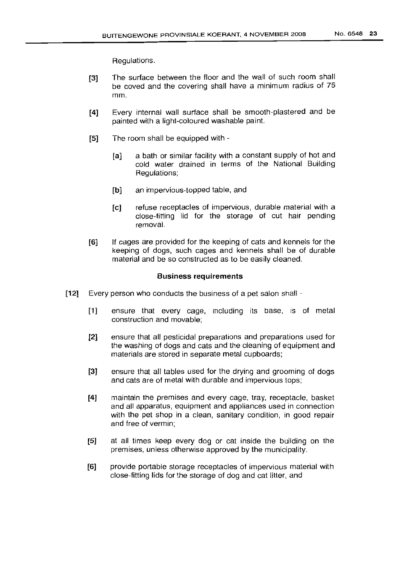Regulations.

- **[3]** The surface between the floor and the wall of such room shall be coved and the covering shall have a minimum radius of 75 mm.
- **[4]** Every internal wall surface shall be smooth-plastered and be painted with a light-coloured washable paint.
- **[5]** The room shall be equipped with
	- **[a]** a bath or similar facility with a constant supply of hot and cold water drained in terms of the National Building Regulations;
	- **[b]** an impervious-topped table, and
	- **[c]** refuse receptacles of impervious, durable material with a close-fitting lid for the storage of cut hair pending removal.
- **[6]** If cages are provided for the keeping of cats and kennels for the keeping of dogs, such cages and kennels shall be of durable material and be so constructed as to be easily cleaned.

#### **Business requirements**

- **[12]** Every person who conducts the business of a pet salon shall
	- **[1]** ensure that every cage, including its base, is of metal construction and movable;
	- **[2]** ensure that all pesticidal preparations and preparations used for the washing of dogs and cats and the cleaning of equipment and materials are stored in separate metal cupboards;
	- **[3]** ensure that all tables used for the drying and grooming of dogs and cats are of metal with durable and impervious tops;
	- **[4]** maintain the premises and every cage, tray, receptacle, basket and all apparatus, equipment and appliances used in connection with the pet shop in a clean, sanitary condition, in good repair and free of vermin;
	- **[5]** at all times keep every dog or cat inside the building on the premises, unless otherwise approved by the municipality.
	- **[6]** provide portable storage receptacles of impervious material with close-fitting lids for the storage of dog and cat litter, and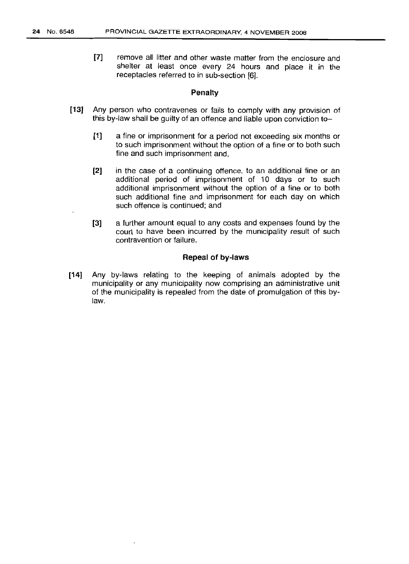[7] remove all litter and other waste matter from the enclosure and shelter at least once every 24 hours and place it in the receptacles referred to in sub-section [6].

#### Penalty

- [13] Any person who contravenes or fails to comply with any provision of this by-law shall be guilty of an offence and liable upon conviction to-
	- [1] a fine or imprisonment for a period not exceeding six months or to such imprisonment without the option of a fine or to both such fine and such imprisonment and,
	- [2] in the case of a continuing offence, to an additional fine or an additional period of imprisonment of 10 days or to such additional imprisonment without the option of a fine or to both such additional fine and imprisonment for each day on which such offence is continued; and
	- [3] a further amount equal to any costs and expenses found by the court to have been incurred by the municipality result of such contravention or failure.

#### Repeal of by-laws

[14] Any by-laws relating to the keeping of animals adopted by the municipality or any municipality now comprising an administrative unit of the municipality is repealed from the date of promulgation of this bylaw.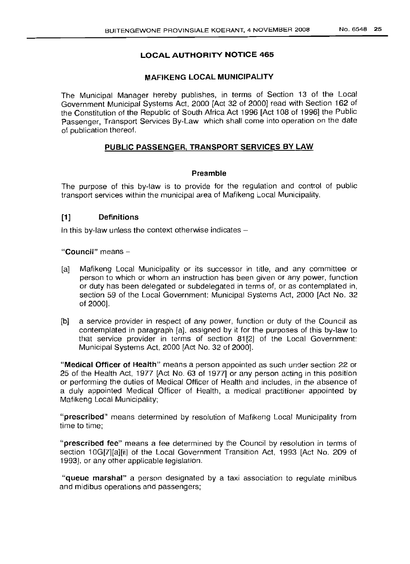### LOCAL AUTHORITY NOTICE 465

#### MAFIKENG LOCAL MUNICIPALITY

The Municipal Manager hereby publishes, in terms of Section 13 of the Local Government Municipal Systems Act, 2000 [Act 32 of 2000] read with Section 162 of the Constitution of the Republic of South Africa Act 1996 [Act 108 of 1996] the Public Passenger, Transport Services By-Law which shall come into operation on the date of publication thereof.

## PUBLIC PASSENGER, TRANSPORT SERVICES BY LAW

#### Preamble

The purpose of this by-law is to provide for the regulation and control of public transport services within the municipal area of Mafikeng Local Municipality.

# [1] Definitions

In this by-law unless the context otherwise indicates  $-$ 

"Council" means -

- [a] Mafikeng Local Municipality or its successor in title, and any committee or person to which or whom an instruction has been given or any power, function or duty has been delegated or subdelegated in terms of, or as contemplated in, section 59 of the Local Government: Municipal Systems Act, 2000 [Act No. 32 of 2000].
- [b] a service provider in respect of any power, function or duty of the Council as contemplated in paragraph [a], assigned by it for the purposes of this by-law to that service provider in terms of section 81[2] of the Local Government: Municipal Systems Act, 2000 [Act No. 32 of 2000].

"Medical Officer of Health" means a person appointed as such under section 22 or 25 of the Health Act, 1977 [Act No. 63 of 1977] or any person acting in this position or performing the duties of Medical Officer of Health and includes, in the absence of a duly appointed Medical Officer of Health, a medical practitioner appointed by Mafikeng Local Municipality;

"prescribed" means determined by resolution of Mafikeng Local Municipality from time to time;

"prescribed fee" means a fee determined by the Council by resolution in terms of section 10G[7][a][ii] of the Local Government Transition Act, 1993 [Act No. 209 of 1993], or any other applicable legislation.

"queue marshal" a person designated by a taxi association to regulate minibus and midibus operations and passengers;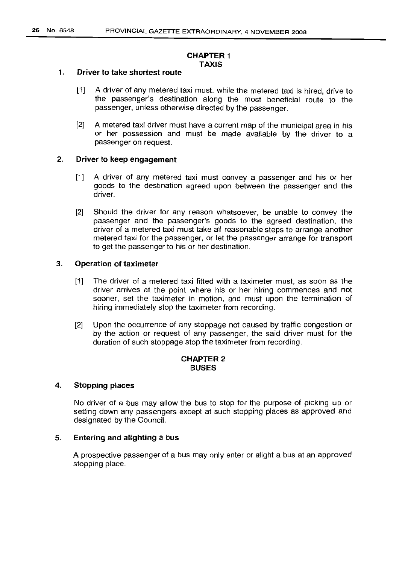### **CHAPTER 1 TAXIS**

#### 1. **Driver to take shortest route**

- [1] A driver of any metered taxi must, while the metered taxi is hired, drive to the passenger's destination along the most beneficial route to the passenger, unless otherwise directed by the passenger.
- [2] A metered taxi driver must have a current map of the municipal area in his or her possession and must be made available by the driver to a passenger on request.

# 2. **Driver to keep engagement**

- [1] A driver of any metered taxi must convey a passenger and his or her goods to the destination agreed upon between the passenger and the driver.
- [2] Should the driver for any reason whatsoever, be unable to convey the passenger and the passenger's goods to the agreed destination, the driver of a metered taxi must take all reasonable steps to arrange another metered taxi for the passenger, or let the passenger arrange for transport to get the passenger to his or her destination.

#### 3. **Operation of taximeter**

- [1] The driver of a metered taxi fitted with a taximeter must, as soon as the driver arrives at the point where his or her hiring commences and not sooner, set the taximeter in motion, and must upon the termination of hiring immediately stop the taximeter from recording.
- [2] Upon the occurrence of any stoppage not caused by traffic congestion or by the action or request of any passenger, the said driver must for the duration of such stoppage stop the taximeter from recording.

# **CHAPTER** 2 **BUSES**

#### 4. **Stopping places**

No driver of a bus may allow the bus to stop for the purpose of picking up or setting down any passengers except at such stopping places as approved and designated by the Council.

#### 5. **Entering and alighting a** bus

A prospective passenger of a bus may only enter or alight a bus at an approved stopping place.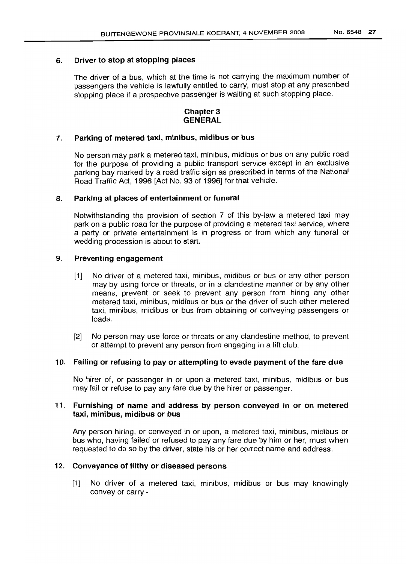# 6. Driver to stop at stopping places

The driver of a bus, which at the time is not carrying the maximum number of passengers the vehicle is lawfully entitled to carry, must stop at any prescribed stopping place if a prospective passenger is waiting at such stopping place.

# Chapter 3 GENERAL

# 7. Parking of metered taxi, minibus, midibus or bus

No person may park a metered taxi, minibus, midibus or bus on any public road for the purpose of providing a public transport service except in an exclusive parking bay marked by a road traffic sign as prescribed in terms of the National Road Traffic Act, 1996 [Act No. 93 of 1996] for that vehicle.

# 8. Parking at places of entertainment or funeral

Notwithstanding the provision of section 7 of this by-law a metered taxi may park on a public road for the purpose of providing a metered taxi service, where a party or private entertainment is in progress or from which any funeral or wedding procession is about to start.

# 9. Preventing engagement

- [1] No driver of a metered taxi, minibus, midibus or bus or any other person may by using force or threats, or in a clandestine manner or by any other means, prevent or seek to prevent any person from hiring any other metered taxi, minibus, midibus or bus or the driver of such other metered taxi, minibus, midibus or bus from obtaining or conveying passengers or loads.
- [2] No person may use force or threats or any clandestine method, to prevent or attempt to prevent any person from engaging in a lift club.

# 10. Failing or refusing to payor attempting to evade payment of the fare due

No hirer of, or passenger in or upon a metered taxi, minibus, midibus or bus may fail or refuse to pay any fare due by the hirer or passenger.

# 11. Furnishing of name and address by person conveyed in or on metered taxi, minibus, midibus or bus

Any person hiring, or conveyed in or upon, a metered taxi, minibus, midibus or bus who, having failed or refused to pay any fare due by him or her, must when requested to do so by the driver, state his or her correct name and address.

# 12. Conveyance of filthy or diseased persons

[1] No driver of a metered taxi, minibus, midibus or bus may knowingly convey or carry -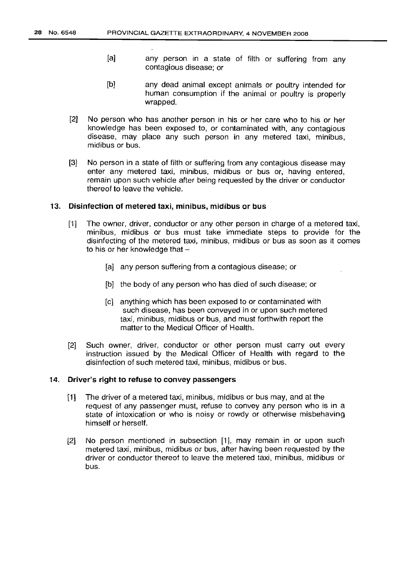- [a] any person in a state of filth or suffering from any contagious disease; or
- [b] any dead animal except animals or poultry intended for human consumption if the animal or poultry is properly wrapped.
- [2] No person who has another person in his or her care who to his or her knowledge has been exposed to, or contaminated with, any contagious disease, may place any such person in any metered taxi, minibus, midibus or bus.
- [3] No person in a state of filth or suffering from any contagious disease may enter any metered taxi, minibus, midibus or bus or, having entered, remain upon such vehicle after being requested by the driver or conductor thereof to leave the vehicle.

#### 13. Disinfection of metered taxi, minibus, midibus or bus

- [1] The owner, driver, conductor or any other person in charge of a metered taxi, minibus, midibus or bus must take immediate steps to provide for the disinfecting of the metered taxi, minibus, midibus or bus as soon as it comes to his or her knowledge that  $-$ 
	- [a] any person suffering from a contagious disease; or
	- [b] the body of any person who has died of such disease; or
	- [c] anything which has been exposed to or contaminated with such disease, has been conveyed in or upon such metered taxi, minibus, midibus or bus, and must forthwith report the matter to the Medical Officer of Health.
- [2] Such owner, driver, conductor or other person must carry out every instruction issued by the Medical Officer of Health with regard to the disinfection of such metered taxi, minibus, midibus or bus.

#### 14. Driver's right to refuse to convey passengers

- [1] The driver of a metered taxi, minibus, midibus or bus may, and at the request of any passenger must, refuse to convey any person who is in a state of intoxication or who is noisy or rowdy or otherwise misbehaving himself or herself.
- [2] No person mentioned in subsection [1], may remain in or upon such metered taxi, minibus, midibus or bus, after having been requested by the driver or conductor thereof to leave the metered taxi, minibus, midibus or bus.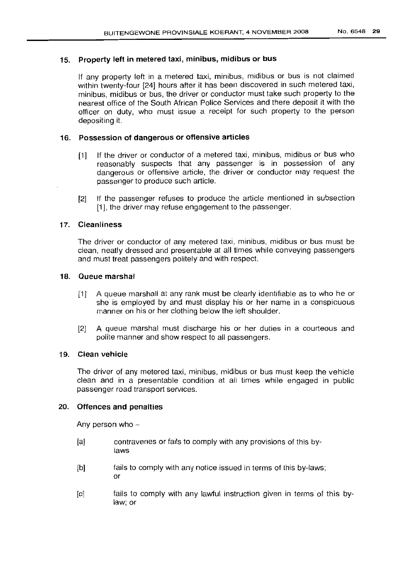# 15. Property left in metered taxi, minibus, midibus or bus

If any property left in a metered taxi, minibus, midibus or bus is not claimed within twenty-four [24] hours after it has been discovered in such metered taxi, minibus, midibus or bus, the driver or conductor must take such property to the nearest office of the South African Police Services and there deposit it with the officer on duty, who must issue a receipt for such property to the person depositing it.

# 16. Possession of dangerous or offensive articles

- [1] If the driver or conductor of a metered taxi, minibus, midibus or bus who reasonably suspects that any passenger is in possession of any dangerous or offensive article, the driver or conductor may request the passenger to produce such article.
- [2] If the passenger refuses to produce the article mentioned in subsection [1], the driver may refuse engagement to the passenger.

# 17. Cleanliness

The driver or conductor of any metered taxi, minibus, midibus or bus must be clean, neatly dressed and presentable at all times while conveying passengers and must treat passengers politely and with respect.

#### 18. Queue marshal

- [1] A queue marshall at any rank must be clearly identifiable as to who he or she is employed by and must display his or her name in a conspicuous manner on his or her clothing below the left shoulder.
- [2] A queue marshal must discharge his or her duties in a courteous and polite manner and show respect to all passengers.

# 19. Clean vehicle

The driver of any metered taxi, minibus, midibus or bus must keep the vehicle clean and in a presentable condition at all times while engaged in public passenger road transport services.

# 20. Offences and penalties

Any person who  $-$ 

- [aj contravenes or fails to comply with any provisions of this bylaws
- [bj fails to comply with any notice issued in terms of this by-laws; or
- [c] fails to comply with any lawful instruction given in terms of this bylaw; or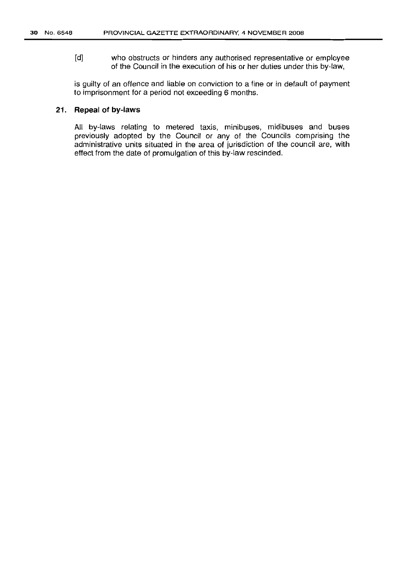[d] who obstructs or hinders any authorised representative or employee of the Council in the execution of his or her duties under this by-law,

is guilty of an offence and liable on conviction to a fine or in default of payment to imprisonment for a period not exceeding 6 months.

# **21. Repeal of by-laws**

All by-laws relating to metered taxis, minibuses, midibuses and buses previously adopted by the Council or any of the Councils comprising the administrative units situated in the area of jurisdiction of the council are, with effect from the date of promulgation of this by-law rescinded.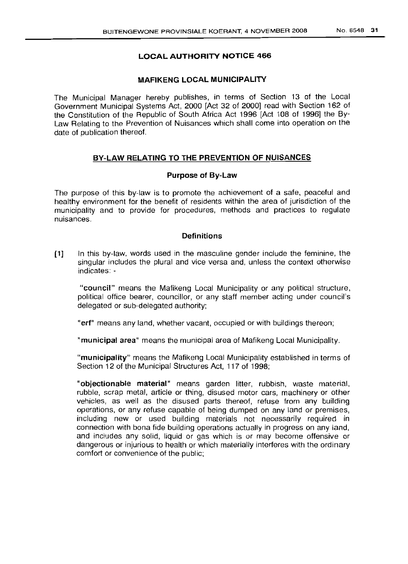# LOCAL AUTHORITY NOTICE 466

# MAFIKENG LOCAL MUNICIPALITY

The Municipal Manager hereby publishes, in terms of Section 13 of the Local Government Municipal Systems Act, 2000 [Act 32 of 2000] read with Section 162 of the Constitution of the Republic of South Africa Act 1996 [Act 108 of 1996] the By-Law Relating to the Prevention of Nuisances which shall come into operation on the date of publication thereof.

# BY-LAW RELATING TO THE PREVENTION OF NUISANCES

# Purpose of By-Law

The purpose of this by-law is to promote the achievement of a safe, peaceful and healthy environment for the benefit of residents within the area of jurisdiction of the municipality and to provide for procedures, methods and practices to regulate nuisances.

### **Definitions**

[1J In this by-law, words used in the masculine gender include the feminine, the singular includes the plural and vice versa and, unless the context otherwise indicates: -

"council" means the Mafikeng Local Municipality or any political structure, political office bearer, councillor, or any staff member acting under council's delegated or sub-delegated authority;

"erf" means any land, whether vacant, occupied or with buildings thereon;

"municipal area" means the municipal area of Mafikeng Local Municipality.

"municipality" means the Mafikeng Local Municipality established in terms of Section 12 of the Municipal Structures Act, 117 of 1998;

"objectionable material" means garden litter, rubbish, waste material, rubble, scrap metal, article or thing, disused motor cars, machinery or other vehicles, as well as the disused parts thereof, refuse from any building operations, or any refuse capable of being dumped on any land or premises, including new or used building materials not necessarily required in connection with bona fide building operations actually in progress on any land, and includes any solid, liquid or gas which is or may become offensive or dangerous or injurious to health or which materially interferes with the ordinary comfort or convenience of the public;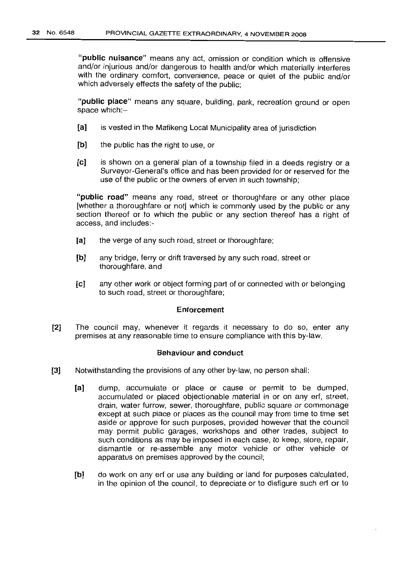"public nuisance" means any act, omission or condition which is offensive and/or injurious and/or dangerous to health and/or which materially interferes with the ordinary comfort, convenience, peace or quiet of the public and/or which adversely effects the safety of the public;

"public place" means any square, building, park, recreation ground or open space which:-

- [a] is vested in the Mafikeng Local Municipality area of jurisdiction
- [b] the public has the right to use, or
- [c] is shown on a general plan of a township filed in a deeds registry or a Surveyor-General's office and has been provided for or reserved for the use of the public or the owners of erven in such township;

"public road" means any road, street or thoroughfare or any other place [whether a thoroughfare or not] which is commonly used by the public or any section thereof or to which the public or any section thereof has a right of access, and includes:-

- [a] the verge of any such road, street or thoroughfare;
- [b] any bridge, ferry or drift traversed by any such road, street or thoroughfare. and
- [cl any other work or object forming part of or connected with or belonging to such road, street or thoroughfare;

#### Enforcement

[2] The council may, whenever it regards it necessary to do so, enter any premises at any reasonable time to ensure compliance with this by-law.

#### Behaviour and conduct

- [3] Notwithstanding the provisions of any other by-law, no person shall:
	- [a] dump, accumulate or place or cause or permit to be dumped, accumulated or placed objectionable material in or on any erf, street, drain, water furrow, sewer, thoroughfare, public square or commonage except at such place or places as the council may from time to time set aside or approve for such purposes, provided however that the council may permit public garages, workshops and other trades, subject to such conditions as may be imposed in each case, to keep, store. repair, dismantle or re-assemble any motor vehicle or other vehicle or apparatus on premises approved by the council;
	- [b] do work on any erf or use any building or land for purposes calculated, in the opinion of the council, to depreciate or to disfigure such erf or to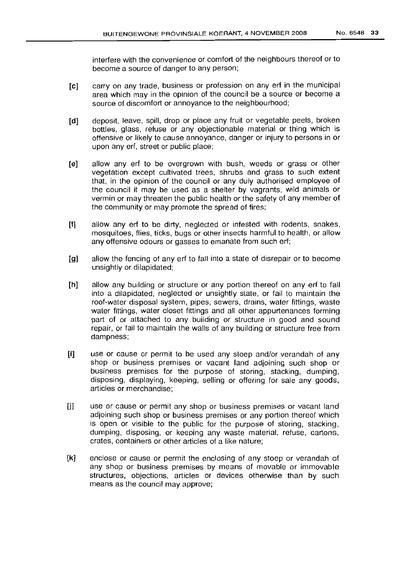interfere with the convenience or comfort of the neighbours thereof or to become a source of danger to any person;

- [e] carryon any trade, business or profession on any erf in the municipal area which may in the opinion of the council be a source or become a source of discomfort or annoyance to the neighbourhood;
- [d] deposit, leave, spill, drop or place any fruit or vegetable peels, broken bottles, glass, refuse or any objectionable material or thing which is offensive or likely to cause annoyance, danger or injury to persons in or upon any erf, street or public place;
- [e] allow any erf to be overgrown with bush, weeds or grass or other vegetation except cultivated trees, shrubs and grass to such extent that, in the opinion of the council or any duly authorised employee of the council it may be used as a shelter by vagrants, wild animals or vermin or may threaten the public health or the safety of any member of the community or may promote the spread of fires;
- [f] allow any erf to be dirty, neglected or infested with rodents, snakes, mosquitoes, flies, ticks, bugs or other insects harmful to health, or allow any offensive odours or gasses to emanate from such erf;
- [g] allow the fencing of any erf to fall into a state of disrepair or to become unsightly or dilapidated;
- [h] allow any building or structure or any portion thereof on any erf to fall into a dilapidated, neglected or unsightly state, or fail to maintain the roof-water disposal system, pipes, sewers, drains, water fittings, waste water fittings, water closet fittings and all other appurtenances forming part of or attached to any building or structure in good and sound repair, or fail to maintain the walls of any building or structure free from dampness;
- [i] use or cause or permit to be used any stoep and/or verandah of any shop or business premises or vacant land adjoining such shop or business premises for the purpose of storing, stacking, dumping, disposing, displaying, keeping, selling or offering for sale any goods, articles or merchandise;
- [j] use or cause or permit any shop or business premises or vacant land adjoining such shop or business premises or any portion thereof which is open or visible to the public for the purpose of storing, stacking, dumping, disposing, or keeping any waste material, refuse, cartons, crates, containers or other articles of a like nature;
- [k] enclose or cause or permit the enclosing of any stoep or verandah of any shop or business premises by means of movable or immovable structures, objections, articles or devices otherwise than by such means as the council may approve;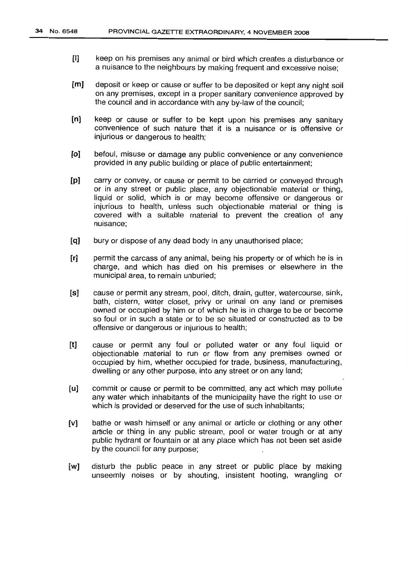- [I] keep on his premises any animal or bird which creates a disturbance or a nuisance to the neighbours by making frequent and excessive noise;
- [m] deposit or keep or cause or suffer to be deposited or kept any night soil on any premises, except in a proper sanitary convenience approved by the council and in accordance with any by-law of the council;
- [n] keep or cause or suffer to be kept upon his premises any sanitary convenience of such nature that it is a nuisance or is offensive or injurious or dangerous to health;
- [oj befoul, misuse or damage any public convenience or any convenience provided in any public building or place of public entertainment;
- [p] carry or convey, or cause or permit to be carried or conveyed through or in any street or public place, any objectionable material or thing, liquid or solid, which is or may become offensive or dangerous or injurious to health, unless such objectionable material or thing is covered with a suitable material to prevent the creation of any nuisance;
- [q] bury or dispose of any dead body in any unauthorised place;
- [r] permit the carcass of any animal, being his property or of which he is in charge, and which has died on his premises or elsewhere in the municipal area, to remain unburied;
- [s] cause or permit any stream, pool, ditch, drain, gutter, watercourse, sink, bath, cistern, water closet, privy or urinal on any land or premises owned or occupied by him or of which he is in charge to be or become so foul or in such a state or to be so situated or constructed as to be offensive or dangerous or injurious to health;
- [t] cause or permit any foul or polluted water or any foul liquid or objectionable material to run or flow from any premises owned or occupied by him, whether occupied for trade, business, manufacturing, dwelling or any other purpose, into any street or on any land;
- [u] commit or cause or permit to be committed, any act which may pollute any water which inhabitants of the municipality have the right to use or which is provided or deserved for the use of such inhabitants;
- [v] bathe or wash himself or any animal or article or clothing or any other article or thing in any public stream, pool or water trough or at any public hydrant or fountain or at any place which has not been set aside by the council for any purpose;
- [w] disturb the public peace in any street or public place by making unseemly noises or by shouting, insistent hooting, wrangling or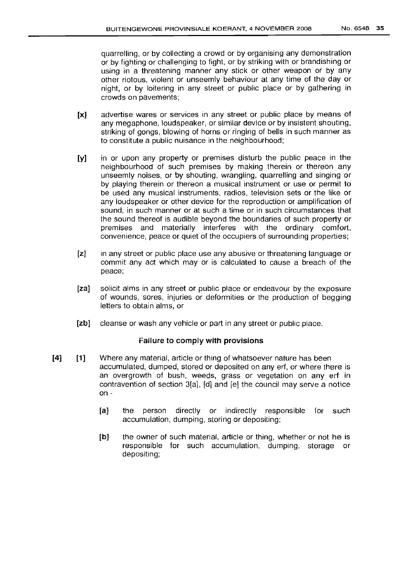quarrelling, or by collecting a crowd or by organising any demonstration or by fighting or challenging to fight, or by striking with or brandishing or using in a threatening manner any stick or other weapon or by any other riotous, violent or unseemly behaviour at any time of the day or night, or by loitering in any street or public place or by gathering in crowds on pavements;

- [x] advertise wares or services in any street or public place by means of any megaphone, loudspeaker, or similar device or by insistent shouting, striking of gongs, blowing of horns or ringing of bells in such manner as to constitute a public nuisance in the neighbourhood;
- **[y]** in or upon any property or premises disturb the public peace in the neighbourhood of such premises by making therein or thereon any unseemly noises, or by shouting, wrangling, quarrelling and singing or by playing therein or thereon a musical instrument or use or permit to be used any musical instruments, radios, television sets or the like or any loudspeaker or other device for the reproduction or amplification of sound, in such manner or at such a time or in such circumstances that the sound thereof is audible beyond the boundaries of such property or premises and materially interferes with the ordinary comfort, convenience, peace or quiet of the occupiers of surrounding properties;
- [z] in any street or public place use any abusive or threatening language or commit any act which mayor is calculated to cause a breach of the peace;
- [za] solicit alms in any street or public place or endeavour by the exposure of wounds, sores, injuries or deformities or the production of begging letters to obtain alms, or
- [zb] cleanse or wash any vehicle or part in any street or public place.

## Failure to comply with provisions

- **[4] [1]** Where any material, article or thing of whatsoever nature has been accumulated, dumped, stored or deposited on any erf, or where there is an overgrowth of bush, weeds, grass or vegetation on any erf in contravention of section 3[a], [d] and [e] the council may serve a notice on -
	- [a] the person directly or indirectly responsible for such accumulation, dumping, storing or depositing;
	- [b] the owner of such material, article or thing, whether or not he is responsible for such accumulation, dumping, storage or depositing;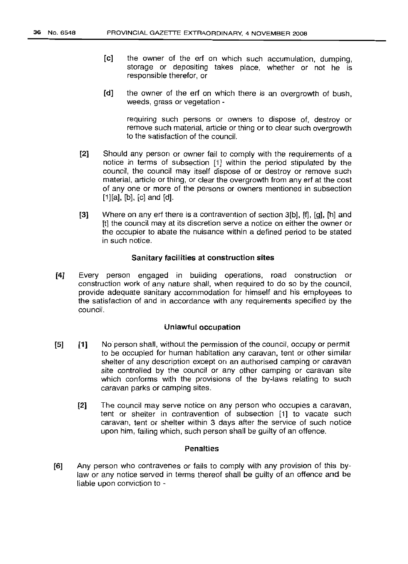- [c] the owner of the ert on which such accumulation, dumping, storage or depositing takes place, whether or not he is responsible therefor, or
- [d] the owner of the erf on which there is an overgrowth of bush, weeds, grass or vegetation -

requiring such persons or owners to dispose of, destroy or remove such material, article or thing or to clear such overgrowth to the satisfaction of the council.

- [2] Should any person or owner fail to comply with the requirements of a notice in terms of subsection  $[1]$  within the period stipulated by the council, the council may itself dispose of or destroy or remove such material, article or thing, or clear the overgrowth from any erf at the cost of anyone or more of the persons or owners mentioned in subsection  $[1][a], [b], [c]$  and  $[d].$
- [3] Where on any erf there is a contravention of section 3[b], [f], [g], [h] and [t] the council may at its discretion serve a notice on either the owner or the occupier to abate the nuisance within a defined period to be stated in such notice.

#### Sanitary facilities at construction sites

[4J Every person engaged in building operations, road construction or construction work of any nature shall, when required to do so by the council, provide adequate sanitary accommodation for himself and his employees to the satisfaction of and in accordance with any requirements specified by the council.

#### Unlawful occupation

- [5] [1] No person shall, without the permission of the council, occupy or permit to be occupied for human habitation any caravan, tent or other similar shelter of any description except on an authorised camping or caravan site controlled by the council or any other camping or caravan site which conforms with the provisions of the by-laws relating to such caravan parks or camping sites.
	- [2J The council may serve notice on any person who occupies a caravan, tent or shelter in contravention of subsection [1] to vacate such caravan, tent or shelter within 3 days after the service of such notice upon him, failing which, such person shall be guilty of an offence.

# Penalties

[6] Any person who contravenes or fails to comply with any provision of this bylaw or any notice served in terms thereof shall be guilty of an offence and be liable upon conviction to -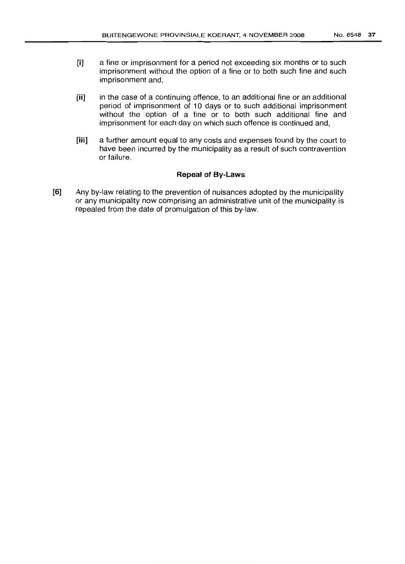- [i] a fine or imprisonment for a period not exceeding six months or to such imprisonment without the option of a fine or to both such fine and such imprisonment and,
- [ii] in the case of a continuing offence, to an additional fine or an additional period of imprisonment of 10 days or to such additional imprisonment without the option of a fine or to both such additional fine and imprisonment for each day on which such offence is continued and,
- [iii] a further amount equal to any costs and expenses found by the court to have been incurred by the municipality as a result of such contravention or failure.

# **Repeal of By-Laws**

[6] Any by-law relating to the prevention of nuisances adopted by the municipality or any municipality now comprising an administrative unit of the municipality is repealed from the date of promulgation of this by-law.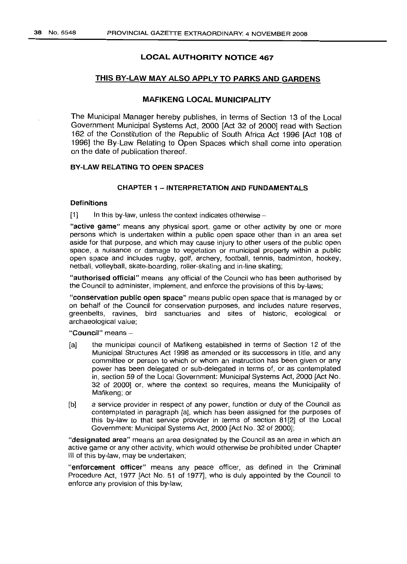# **LOCAL AUTHORITY NOTICE 467**

# THIS BY-LAW MAY ALSO APPLY TO PARKS AND GARDENS

# MAFIKENG LOCAL MUNICIPALITY

The Municipal Manager hereby publishes, in terms of Section 13 of the Local Government Municipal Systems Act, 2000 [Act 32 of 2000] read with Section 162 of the Constitution of the Republic of South Africa Act 1996 [Act 108 of 1996] the By-Law Relating to Open Spaces which shall come into operation on the date of publication thereof.

#### BY-LAW RELATING TO OPEN SPACES

# CHAPTER 1 - INTERPRETATION AND FUNDAMENTALS

#### Definitions

 $[1]$  In this by-law, unless the context indicates otherwise -

"active game" means any physical sport, game or other activity by one or more persons which is undertaken within a public open space other than in an area set aside for that purpose, and which may cause injury to other users of the public open space, a nuisance or damage to vegetation or municipal property within a public open space and includes rugby, golf, archery, football, tennis, badminton, hockey, netball, volleyball, skate-boarding, roller-skating and in-line skating;

"authorised official" means any official of the Council who has been authorised by the Council to administer, implement, and enforce the provisions of this by-laws;

"conservation public open space" means public open space that is managed by or on behalf of the Council for conservation purposes, and includes nature reserves, greenbelts, ravines, bird sanctuaries and sites of historic, ecological or archaeological value;

"Council" means-

- (a] the municipal council of Mafikeng established in terms of Section 12 of the Municipal Structures Act 1998 as amended or its successors in title, and any committee or person to which or whom an instruction has been given or any power has been delegated or sub-delegated in terms of, or as contemplated in, section 59 of the Local Government: Municipal Systems Act, 2000 [Act No. 32 of 2000] or, where the context so requires, means the Municipality of Mafikeng; or
- [b] a service provider in respect of any power, function or duty of the Council as contemplated in paragraph [a], which has been assigned for the purposes of this by-law to that service provider in terms of section 81[2] of the Local Government: Municipal Systems Act, 2000 [Act No. 32 of 2000];

"designated area" means an area designated by the Council as an area in which an active game or any other activity, which would otherwise be prohibited under Chapter III of this by-law, may be undertaken;

"enforcement officer" means any peace officer, as defined in the Criminal Procedure Act, 1977 [Act No. 51 of 1977], who is duly appointed by the Council to enforce any provision of this by-law;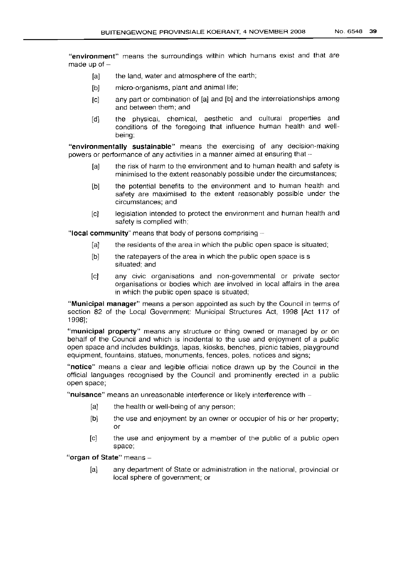"environment" means the surroundings within which humans exist and that are made up of  $-$ 

- [a] the land, water and atmosphere of the earth;
- [b] micro-organisms, plant and animal life;
- [c] any part or combination of [a] and [b] and the interrelationships among and between them; and
- [d] the physical, chemical, aesthetic and cultural properties and conditions of the foregoing that influence human health and wellbeing;

"environmentally sustainable" means the exercising of any decision-making powers or performance of any activities in a manner aimed at ensuring that -

- [a] the risk of harm to the environment and to human health and safety is minimised to the extent reasonably possible under the circumstances;
- [b] the potential benefits to the environment and to human health and safety are maximised to the extent reasonably possible under the circumstances; and
- [c] legislation intended to protect the environment and human health and safety is complied with;

"local community" means that body of persons comprising  $-$ 

- [a] the residents of the area in which the public open space is situated;
- [b] the ratepayers of the area in which the public open space is s situated; and
- [c] any civic organisations and non-governmental or private sector organisations or bodies which are involved in local affairs in the area in which the public open space is situated;

"Municipal manager" means a person appointed as such by the Council in terms of section 82 of the Local Government: Municipal Structures Act, 1998 [Act 117 of 1998];

"municipal property" means any structure or thing owned or managed by or on behalf of the Council and which is incidental to the use and enjoyment of a public open space and includes buildings, lapas, kiosks, benches, picnic tables, playground equipment, fountains, statues, monuments, fences, poles, notices and signs;

"notice" means a clear and legible official notice drawn up by the Council in the Official languages recognised by the Council and prominently erected in a public open space;

" $nuisance"$  means an unreasonable interference or likely interference with  $-$ 

- [a] the health or well-being of any person;
- [b] the use and enjoyment by an owner or occupier of his or her property; or
- [c] the use and enjoyment by a member of the public of a public open space;

"organ of State" means -

[a] any department of State or administration in the national, provincial or local sphere of government; or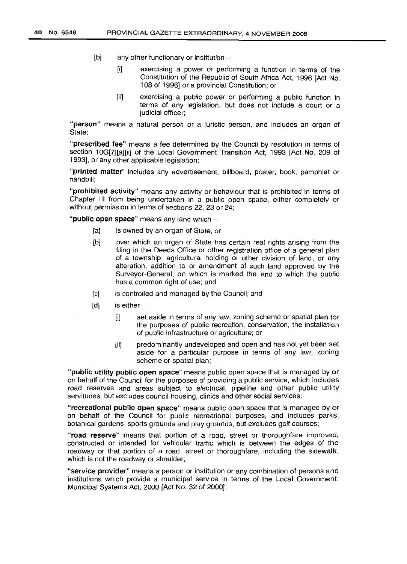- $[b]$  any other functionary or institution  $-$ 
	- [i] exercising a power or performing a function in terms of the Constitution of the Republic of South Africa Act, 1996 [Act No. 108 of 1996] or a provincial Constitution; or
	- [ii] exercising a public power or performing a public function in terms of any legislation, but does not include a court or a judicial officer;

"person" means a natural person or a juristic person, and includes an organ of State;

"prescribed fee" means a fee determined by the Council by resolution in terms of section 10G[7][a][ii] of the Local Government Transition Act, 1993 [Act No. 209 of 1993], or any other applicable legislation;

"printed matter" includes any advertisement, billboard, poster, book, pamphlet or handbill;

"prohibited activity" means any activity or behaviour that is prohibited in terms of Chapter III from being undertaken in a public open space, either completely or without permission in terms of sections 22, 23 or 24;

" $p$ ublic open space" means any land which  $-$ 

- [a] is owned by an organ of State, or
- [b] over which an organ of State has certain real rights arising from the filing in the Deeds Office or other registration office of a general plan of a township, agricultural holding or other division of land, or any alteration, addition to or amendment of such land approved by the Surveyor-General, on which is marked the land to which the public has a common right of use; and
- [c] is controlled and managed by the Council; and
- $[d]$  is either -
	- [i] set aside in terms of any law, zoning scheme or spatial plan for the purposes of public recreation, conservation, the installation of public infrastructure or agriculture; or
	- [ii] predominantly undeveloped and open and has not yet been set aside for a particular purpose in terms of any law, zoning scheme or spatial plan;

"public utility public open space" means public open space that is managed by or on behalf of the Council for the purposes of providing a public service, which includes road reserves and areas subject to electrical, pipeline and other public utility servitudes, but excludes council housing, clinics and other social services;

"recreational public open space" means public open space that is managed by or on behalf of the Council for public recreational purposes, and includes parks, botanical gardens, sports grounds and play grounds, but excludes golf courses;

"road reserve" means that portion of a road, street or thoroughfare improved, constructed or intended for vehicular traffic which is between the edges of the roadway or that portion of a road, street or thoroughfare, including the sidewalk, which is not the roadway or shoulder;

"service provider" means a person or institution or any combination of persons and institutions which provide a municipal service in terms of the Local Government: Municipal Systems Act, 2000 [Act No. 32 of 2000];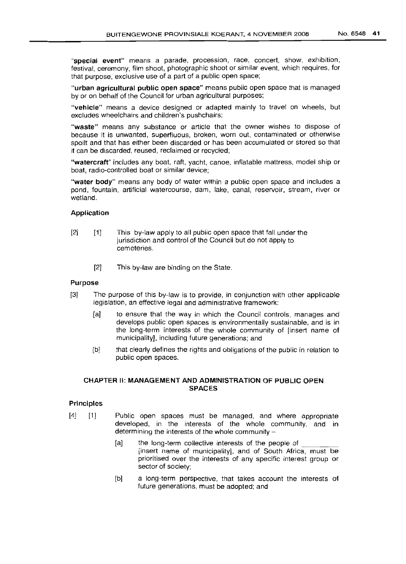"special event" means a parade, procession, race, concert, show, exhibition, festival, ceremony, film shoot, photographic shoot or similar event, which requires, for that purpose, exclusive use of a part of a public open space;

"urban agricultural public open space" means public open space that is managed by or on behalf of the Council for urban agricultural purposes;

"vehicle" means a device designed or adapted mainly to travel on wheels, but excludes wheelchairs and children's pushchairs;

"waste" means any substance or article that the owner wishes to dispose of because it is unwanted, superfluous, broken, worn out, contaminated or otherwise spoilt and that has either been discarded or has been accumulated or stored so that it can be discarded, reused, reclaimed or recycled;

"watercraft" includes any boat, raft, yacht, canoe, inflatable mattress, model ship or boat, radio-controlled boat or similar device;

"water body" means any body of water within a public open space and includes a pond, fountain, artificial watercourse, dam, lake, canal, reservoir, stream, river or wetland.

#### Application

- [2] [1] This by-law apply to all public open space that fall under the jurisdiction and control of the Council but do not apply to cemeteries.
	- [2] This by-law are binding on the State.

#### Purpose

- [3] The purpose of this by-law is to provide, in conjunction with other applicable legislation, an effective legal and administrative framework:
	- [a] to ensure that the way in which the Council controls, manages and develops public open spaces is environmentally sustainable, and is in the long-term interests of the whole community of [insert name of municipality], including future generations; and
	- [b] that clearly defines the rights and obligations of the public in relation to public open spaces.

#### CHAPTER II: MANAGEMENT AND ADMINISTRATION OF PUBLIC OPEN SPACES

#### Principles

- [4] [1] Public open spaces must be managed, and where appropriate developed, in the interests of the whole community, and in determining the interests of the whole community  $-$ 
	- [a] the long-term collective interests of the people of  $\overline{\phantom{a}}$  [insert name of municipality], and of South Africa, must be prioritised over the interests of any specific interest group or sector of society;
	- [b] a long-term perspective, that takes account the interests of future generations, must be adopted; and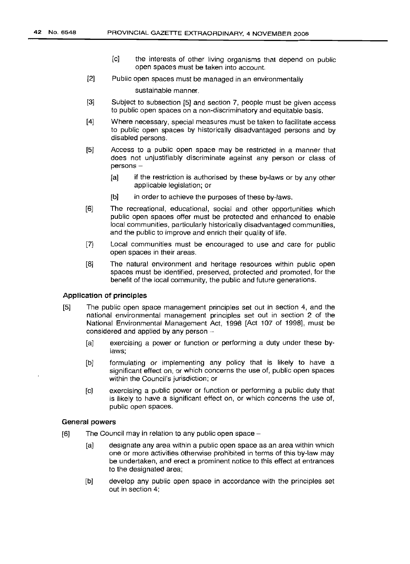- [c] the interests of other living organisms that depend on public open spaces must be taken into account.
- [2] Public open spaces must be managed in an environmentally

sustainable manner.

- [3] Subject to subsection [5] and section 7, people must be given access to public open spaces on a non-discriminatory and equitable basis.
- [4] Where necessary, special measures must be taken to facilitate access to public open spaces by historically disadvantaged persons and by disabled persons.
- [5] Access to a public open space may be restricted in a manner that does not unjustifiably discriminate against any person or class of persons -
	- [a] if the restriction is authorised by these by-laws or by any other applicable legislation; or
	- [b] in order to achieve the purposes of these by-laws.
- $[6]$ The recreational, educational, social and other opportunities which public open spaces offer must be protected and enhanced to enable local communities, particularly historically disadvantaged communities, and the public to improve and enrich their quality of life.
- [7] Local communities must be encouraged to use and care for public open spaces in their areas.
- [8] The natural environment and heritage resources within public open spaces must be identified, preserved, protected arid promoted, for the benefit of the local community, the public and future generations.

#### Application of principles

- [5] The public open space management principles set out in section 4, and the national environmental management principles set out in section 2 of the National Environmental Management Act, 1998 [Act 107 of 1998], must be considered and applied by any person  $-$ 
	- [a] exercising a power or function or performing a duty under these bylaws;
	- [b] formulating or implementing any policy that is likely to have a significant effect on, or which concerns the use of, public open spaces within the Council's jurisdiction; or
	- [c] exercising a public power or function or performing a public duty that is likely to have a significant effect on, or which concerns the use of, public open spaces.

#### General powers

- $[6]$  The Council may in relation to any public open space  $-$ 
	- [a] designate any area within a public open space as an area within which one or more activities otherwise prohibited in terms of this by-law may be undertaken, and erect a prominent notice to this effect at entrances to the designated area;
	- [b] develop any public open space in accordance with the principles set out in section 4;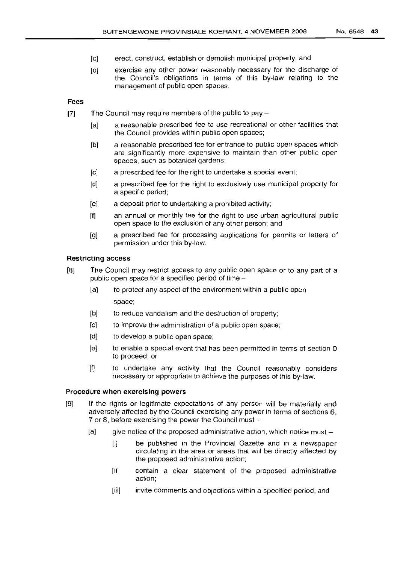- [c] erect, construct, establish or demolish municipal property; and
- [d] exercise any other power reasonably necessary for the discharge of the Council's obligations in terms of this by-law relating to the management of public open spaces.

#### **Fees**

- $[7]$  The Council may require members of the public to pay  $-$ 
	- [a] a reasonable prescribed fee to use recreational or other facilities that the Council provides within public open spaces;
	- [b] a reasonable prescribed fee for entrance to public open spaces which are significantly more expensive to maintain than other public open spaces, such as botanical gardens;
	- [c] a prescribed fee for the right to undertake a special event;
	- [d] a prescribed fee for the right to exclusively use municipal property for a specific period;
	- [e] a deposit prior to undertaking a prohibited activity;
	- [f] an annual or monthly fee for the right to use urban agricultural public open space to the exclusion of any other person; and
	- [g] a prescribed fee for processing applications for permits or letters of permission under this by-law.

#### **Restricting access**

- [8] The Council may restrict access to any public open space or to any part of a public open space for a specified period of time -
	- [a] to protect any aspect of the environment within a public open space;
	- [b] to reduce vandalism and the destruction of property;
	- [c] to improve the administration of a public open space;
	- [d] to develop a public open space;
	- $[e]$  to enable a special event that has been permitted in terms of section  $0$ to proceed; or
	- [f] to undertake any activity that the Council reasonably considers necessary or appropriate to achieve the purposes of this by-law.

#### **Procedure when exercising powers**

- [9] If the rights or legitimate expectations of any person will be materially and adversely affected by the Council exercising any power in terms of sections 6, 7 or 8, before exercising the power the Council must -
	- $[a]$  give notice of the proposed administrative action, which notice must -
		- [i] be published in the Provincial Gazette and in a newspaper circulating in the area or areas that will be directly affected by the proposed administrative action;
		- [ii] contain a clear statement of the proposed administrative action;
		- [iii] invite comments and objections within a specified period; and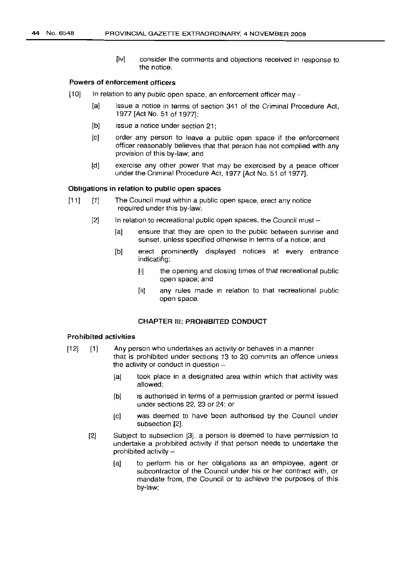[iv] consider the comments and objections received in response to the notice.

#### Powers of enforcement officers

- $[10]$  In relation to any public open space, an enforcement officer may -
	- [a] issue a notice in terms of section 341 of the Criminal Procedure Act, 1977 [Act No. 51 of 1977];
	- [b] issue a notice under section 21:
	- [c] order any person to leave a public open space if the enforcement officer reasonably believes that that person has not complied with any provision of this by-law; and
	- [d] exercise any other power that may be exercised by a peace officer under the Criminal Procedure Act, 1977 [Act No. 51 of 1977].

#### Obligations in relation to public open spaces

- [11] [1] The Council must within a public open space, erect any notice required under this by-law.
	- $[2]$  In relation to recreational public open spaces, the Council must
		- [a] ensure that they are open to the public between sunrise and sunset, unless specified otherwise in terms of a notice; and
		- [b] erect prominently displayed notices at every entrance indicatihg:
			- [i] the opening and closing times of that recreational public open space; and
			- [ii] any rules made in relation to that recreational public open space.

#### CHAPTER III: PROHIBITED CONDUCT

#### Prohibited activities

- $[12]$   $[1]$ Any person who undertakes an activity or behaves in a manner that is prohibited under sections 13 to 20 commits an offence unless the activity or conduct in question -
	- [a] took place in a designated area within which that activity was allowed;
	- [b] is authorised in terms of a permission granted or permit issued under sections 22. 23 or 24; or
	- [c] was deemed to have been authorised by the Council under subsection [2].
	- [2] Subject to subsection [3], a person is deemed to have permission to undertake a prohibited activity if that person needs to undertake the prohibited activity  $-$ 
		- [a] to perform his or her obligations as an employee, agent or subcontractor of the Council under his or her contract with, or mandate from, the Council or to achieve the purposes of this by-law;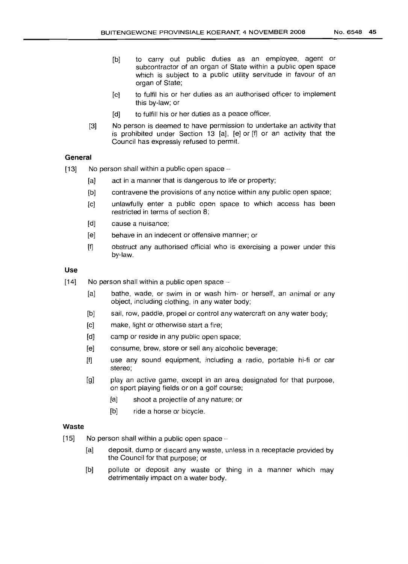- [b] to carry out public duties as an employee, agent or subcontractor of an organ of State within a public open space which is subject to a public utility servitude in favour of an organ of State;
- [c] to fulfil his or her duties as an authorised officer to implement this by-law; or
- [d] to fulfill his or her duties as a peace officer.
- [3] No person is deemed to have permission to undertake an activity that is prohibited under Section 13 [aJ, [e] or [f] or an activity that the Council has expressly refused to permit.

#### **General**

- $[13]$  No person shall within a public open space -
	- [a] act in a manner that is dangerous to life or property;
	- [b] contravene the provisions of any notice within any public open space;
	- [c] unlawfully enter a public open space to which access has been restricted in terms of section 8;
	- [d] cause a nuisance;
	- [e] behave in an indecent or offensive manner; or
	- [f] obstruct any authorised official who is exercising a power under this by-law.

#### **Use**

- $[14]$  No person shall within a public open space  $-$ 
	- [a] bathe, wade, or swim in or wash him- or herself, an animal or any object, including clothing, in any water body;
	- [b] sail, row, paddle, propel or control any watercraft on any water body;
	- [c] make, light or otherwise start a fire;
	- [d] camp or reside in any public open space;
	- [e] consume, brew, store or sell any alcoholic beverage;
	- [f] use any sound equipment, including a radio, portable hi-fi or car stereo;
	- [g] play an active game, except in an area designated for that purpose, on sport playing fields or on a golf course;
		- [a] shoot a projectile of any nature; or
		- [b] ride a horse or bicycle.

#### **Waste**

- $[15]$  No person shall within a public open space -
	- [a] deposit, dump or discard any waste, unless in a receptacle provided by the Council for that purpose; or
	- [b] pollute or deposit any waste or thing in a manner which may detrimentally impact on a water body.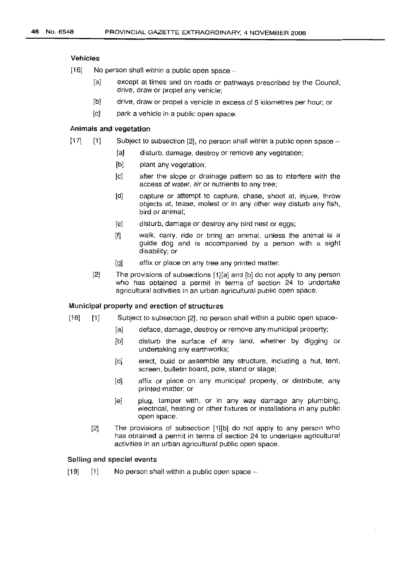#### Vehicles

- $[16]$  No person shall within a public open space -
	- [a] except at times and on roads or pathways prescribed by the Council, drive, draw or propel any vehicle;
	- [b] drive, draw or propel a vehicle in excess of 5 kilometres per hour; or
	- [c] park a vehicle in a public open space.

#### Animals **and** vegetation

- $[17]$  [1] Subject to subsection  $[2]$ , no person shall within a public open space -
	- [a] disturb, damage, destroy or remove any vegetation;
	- [b] plant any vegetation;
	- [c] alter the slope or drainage pattern so as to interfere with the access of water, air or nutrients to any tree;
	- [d] capture or attempt to capture, chase, shoot at, injure, throw objects at, tease, molest or in any other way disturb any fish, bird or animal;
	- [e] disturb, damage or destroy any bird nest or eggs;
	- [f) walk, carry, ride or bring an animal, unless the animal is a guide dog and is accompanied by a person with a sight disability; or
	- [g] affix or place on any tree any printed matter.
	- [2] The provisions of subsections [1][a] and [b] do not apply to any person who has obtained a permit in terms of section 24 to undertake agricultural activities in an urban agricultural public open space.

#### Municipal property and erection of structures

- [18] [1] Subject to subsection [2], no person shall within a public open space-
	- [a] deface, damage, destroy or remove any municipal property;
	- [b] disturb the surface of any land, whether by digging or undertaking any earthworks;
	- [c] erect, build or assemble any structure, including a hut, tent, screen, bulletin board, pole, stand or stage;
	- [d] affix or place on any municipal property, or distribute, any printed matter; or
	- [e] plug, tamper with, or in any way damage any plumbing, electrical, heating or other fixtures or installations in any public open space.
	- [2] The provisions of subsection [1][b] do not apply to any person who has obtained a permit in terms of section 24 to undertake agricultural activities in an urban agricultural public open space.

#### Selling and special events

 $[19]$  [1] No person shall within a public open space  $-$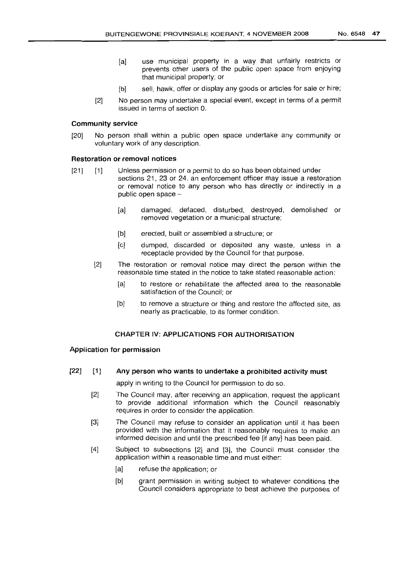- [a] use municipal property in a way that unfairly restricts or prevents other users of the public open space from enjoying that municipal property; or
- [b] sell, hawk, offer or display any goods or articles for sale or hire;
- [2] No person may undertake a special event, except in terms of a permit issued in terms of section O.

#### Community service

[20] No person shall within a public open space undertake any community or voluntary work of any description,

#### Restoration or removal notices

- [21] [1] Unless permission or a permit to do so has been obtained under sections 21, 23 or 24, an enforcement officer may issue a restoration or removal notice to any person who has directly or indirectly in a public open space  $-$ 
	- [a] damaged, defaced, disturbed, destroyed, demolished or removed vegetation or a municipal structure;
	- [b] erected, built or assembled a structure; or
	- [c] dumped, discarded or deposited any waste, unless in a receptacle provided by the Council for that purpose.
	- [2J The restoration or removal notice may direct the person within the reasonable time stated in the notice to take stated reasonable action:
		- [a] to restore or rehabilitate the affected area to the reasonable satisfaction of the Council; or
		- [b] to remove a structure or thing and restore the affected site, as nearly as practicable, to its former condition.

#### CHAPTER IV: APPLICATIONS FOR AUTHORISATION

#### Application for permission

#### $[22]$   $[1]$ Any person who wants to undertake a prohibited activity must

apply in writing to the Council for permission to do so.

- $[2]$ The Council may, after receiving an application, request the applicant to provide additional information which the Council reasonably requires in order to consider the application.
- $[3]$ The Council may refuse to consider an application until it has been provided with the information that it reasonably requires to make an informed decision and until the prescribed fee [if any] has been paid.
- [4] Subject to subsections [2] and [3], the Council must consider the application within a reasonable time and must either:
	- [a] refuse the application; or
	- [b] grant permission in writing subject to whatever conditions the Council considers appropriate to best achieve the purposes of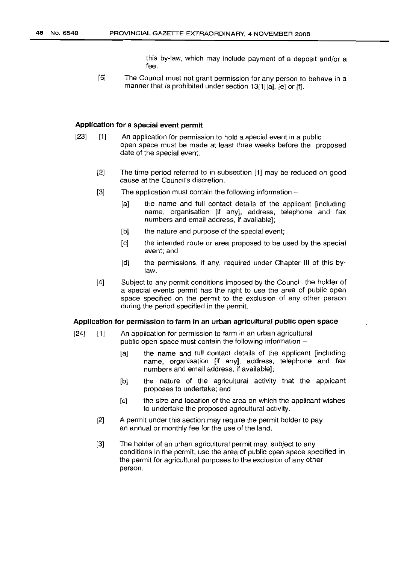this by-law, which may include payment of a deposit and/or a fee.

[5] The Council must not grant permission for any person to behave in a manner that is prohibited under section 13[1][a], [e] or [f].

#### Application for a special event permit

- [23] [1] An application for permission to hold a special event in a public open space must be made at least three weeks before the proposed date of the special event.
	- [2] The time period referred to in subsection [1] may be reduced on good cause at the Council's discretion.
	- $[3]$  The application must contain the following information  $-$ 
		- [a] the name and full contact details of the applicant [including name, organisation [if any], address, telephone and fax numbers and email address, if available];
		- [b] the nature and purpose of the special event;
		- [c] the intended route or area proposed to be used by the special event; and
		- [d] the permissions, if any, required under Chapter III of this bylaw.
	- [4] Subject to any permit conditions imposed by the Council, the holder of a special events permit has the right to use the area of public open space specified on the permit to the exclusion of any other person during the period specified in the permit.

#### Application for permission to farm in an urban agricultural public open space

- [24] [1] An application for permission to farm in an urban agricultural public open space must contain the following information  $-$ 
	- [a] the name and full contact details of the applicant [including] name, organisation [if any], address, telephone and fax numbers and email address, if available];
	- [b] the nature of the agricultural activity that the applicant proposes to undertake; and
	- [c] the size and location of the area on which the applicant wishes to undertake the proposed agricultural activity.
	- [2] A permit under this section may require the permit holder to pay an annual or monthly fee for the use of the land.
	- [3] The holder of an urban agricultural permit may, subject to any conditions in the permit, use the area of public open space specified in the permit for agricultural purposes to the exclusion of any other person.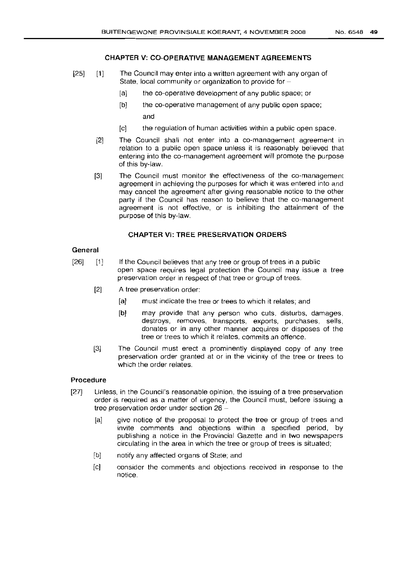# **CHAPTER V: CO-OPERATIVE MANAGEMENT AGREEMENTS**

- [25] [1] The Council may enter into a written agreement with any organ of State, local community or organization to provide for-
	- [a] the co-operative development of any public space; or
	- [b] the co-operative management of any public open space; and
	- [c] the regulation of human activities within a public open space.
	- [2] The Council shall not enter into a co-management agreement in relation to a public open space unless it is reasonably believed that entering into the co-management agreement will promote the purpose of this by-law.
	- [3] The Council must monitor the effectiveness of the co-management agreement in achieving the purposes for which it was entered into and may cancel the agreement after giving reasonable notice to the other party if the Council has reason to believe that the co-management agreement is not effective, or is inhibiting the attainment of the purpose of this by-law.

# **CHAPTER** VI: **TREE PRESERVATION ORDERS**

#### **General**

- [26] [1] If the Council believes that any tree or group of trees in a public open space requires legal protection the Council may issue a tree preservation order in respect of that tree or group of trees.
	- [2J A tree preservation order:
		- [a] must indicate the tree or trees to which it relates; and
		- [b] may provide that any person who cuts, disturbs, damages, destroys, removes, transports, exports, purchases, sells, donates or in any other manner acquires or disposes of the tree or trees to which it relates, commits an offence.
	- [3J The Council must erect a prominently displayed copy of any tree preservation order granted at or in the vicinity of the tree or trees to which the order relates.

# **Procedure**

- [27] Unless, in the Council's reasonable opinion, the issuing of a tree preservation order is required as a matter of urgency, the Council must, before issuing a tree preservation order under section 26 -
	- [a] give notice of the proposal to protect the tree or group of trees and invite comments and objections within a specified period, by publishinq a notice in the Provincial Gazette and in two newspapers circulating in the area in which the tree or group of trees is situated;
	- [b] notify any affected organs of State; and
	- [c] consider the comments and objections received in response to the notice.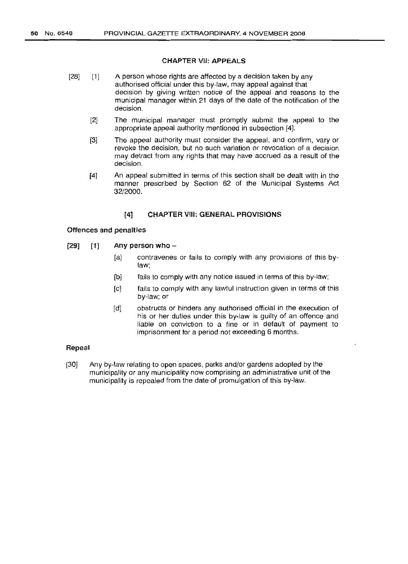#### CHAPTER VII: APPEALS

- $[1]$ [28] A person whose rights are affected by a decision taken by any authorised official under this by-law, may appeal against that decision by giving written notice of the appeal and reasons to the municipal manager within 21 days of the date of the notification of the decision.
	- [2] The municipal manager must promptly submit the appeal to the appropriate appeal authority mentioned in subsection [4].
	- [3] The appeal authority must consider the appeal, and confirm, vary or revoke the decision, but no such variation or revocation of a decision may detract from any rights that may have accrued as a result of the decision.
	- [4] An appeal submitted in terms of this section shall be dealt with in the manner prescribed by Section 62 of the Municipal Systems Act 32/2000.

#### [4] CHAPTER Viii: GENERAL PROVISIONS

#### Offences and penalties

- [29] [1] Any person who -
	- [a] contravenes or fails to comply with any provisions of this bylaw;
	- [b] fails to comply with any notice issued in terms of this by-law;
	- [c] fails to comply with any lawful instruction given in terms of this by-law; or
	- [d] obstructs or hinders any authorised official in the execution of his or her duties under this by-law is guilty of an offence and liable on conviction to a fine or in default of payment to imprisonment for a period not exceeding 6 months.

#### Repeal

[30] Any by-law relating to open spaces, parks and/or gardens adopted by the municipality or any municipality now comprising an administrative unit of the municipality is repealed from the date of promulgation of this by-law.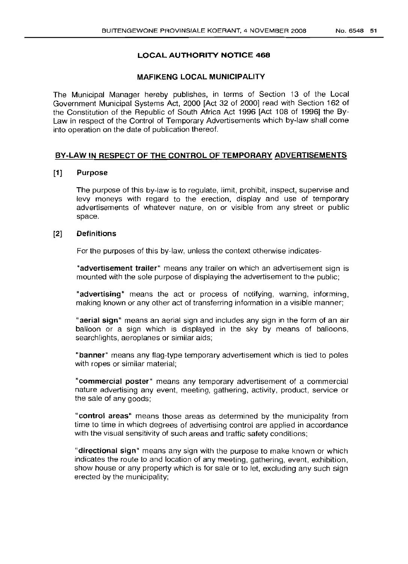# LOCAL **AUTHORITY NOTICE** 468

# MAFIKENG LOCAL MUNICIPALITY

The Municipal Manager hereby publishes, in terms of Section 13 of the Local Government Municipal Systems Act, 2000 [Act 32 of 2000] read with Section 162 of the Constitution of the Republic of South Africa Act 1996 [Act 108 of 1996] the By-Law in respect of the Control of Temporary Advertisements which by-law shall come into operation on the date of publication thereof.

# BY-LAW IN RESPECT OF THE CONTROL OF TEMPORARY ADVERTISEMENTS

#### [1] Purpose

The purpose of this by-law is to regulate, limit, prohibit, inspect, supervise and levy moneys with regard to the erection, display and use of temporary advertisements of whatever nature, on or visible from any street or public space.

#### [2] Definitions

For the purposes of this by-law, unless the context otherwise indicates-

"advertisement trailer" means any trailer on which an advertisement sign is mounted with the sole purpose of displaying the advertisement to the public;

"advertising" means the act or process of notifying, warning, informing, making known or any other act of transferring information in a visible manner;

"aerial sign" means an aerial sign and includes any sign in the form of an air balloon or a sign which is displayed in the sky by means of balloons, searchlights, aeroplanes or similar aids;

"banner" means any flag-type temporary advertisement which is tied to poles with ropes or similar material;

"commercial poster" means any temporary advertisement of a commercial nature advertising any event, meeting, gathering, activity, product, service or the sale of any goods;

"control areas" means those areas as determined by the municipality from time to time in which degrees of advertising control are applied in accordance with the visual sensitivity of such areas and traffic safety conditions;

"directional sign" means any sign with the purpose to make known or which indicates the route to and location of any meeting, gathering, event, exhibition, show house or any property which is for sale or to let, excluding any such sign erected by the municipality;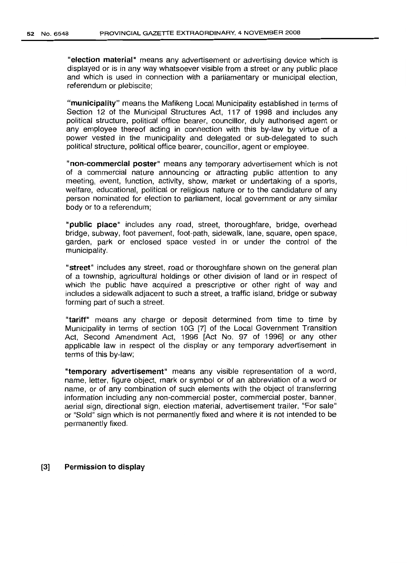"election material" means any advertisement or advertising device which is displayed or is in any way whatsoever visible from a street or any public place and which is used in connection with a parliamentary or municipal election, referendum or plebiscite;

"municipality" means the Mafikeng Local Municipality established in terms of Section 12 of the Municipal Structures Act, 117 of 1998 and includes any political structure, political office bearer, councillor, duly authorised agent or any employee thereof acting in connection with this by-law by virtue of a power vested in the municipality and delegated or sub-delegated to such political structure, political office bearer, councillor, agent or employee.

"non-commercial poster" means any temporary advertisement which is not of a commercial nature announcing or attracting public attention to any meeting, event, function, activity, show, market or undertaking of a sports, welfare, educational, political or religious nature or to the candidature of any person nominated for election to parliament, local government or any similar body or to a referendum;

"public place" includes any road, street, thoroughfare, bridge, overhead bridge, subway, foot pavement, foot-path, sidewalk, lane, square, open space, garden, park or enclosed space vested in or under the control of the municipality.

"street" includes any street, road or thoroughfare shown on the general plan of a township, agricultural holdings or other division of land or in respect of which the public have acquired a prescriptive or other right of way and includes a sidewalk adjacent to such a street, a traffic island, bridge or subway forming part of such a street.

"tariff" means any charge or deposit determined from time to time by Municipality in terms of section 10G [7J of the Local Government Transition Act, Second Amendment Act, 1996 [Act No. 97 of 1996] or any other applicable law in respect of the display or any temporary advertisement in terms of this by-law;

"temporary advertisement" means any visible representation of a word, name, letter, figure object, mark or symbol or of an abbreviation of a word or name, or of any combination of such elements with the object of transferring information including any non-commercial poster, commercial poster, banner, aerial sign, directional sign, election material, advertisement trailer, "For sale" or "Sold" sign which is not permanently fixed and where it is not intended to be permanently fixed.

#### [3] Permission to display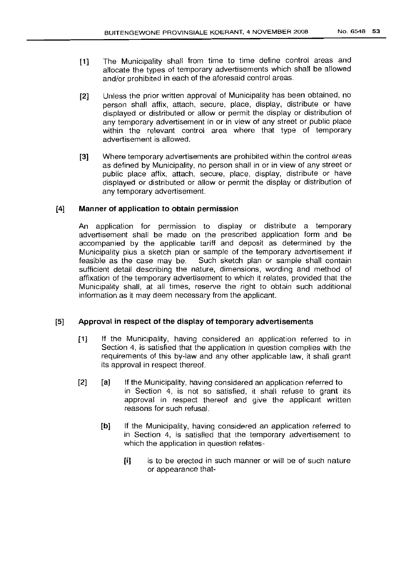- [1] The Municipality shall from time to time define control areas and allocate the types of temporary advertisements which shall be allowed and/or prohibited in each of the aforesaid control areas.
- [2] Unless the prior written approval of Municipality has been obtained, no person shall affix, attach, secure, place, display, distribute or have displayed or distributed or allow or permit the display or distribution of any temporary advertisement in or in view of any street or public place within the relevant control area where that type of temporary advertisement is allowed.
- [3] Where temporary advertisements are prohibited within the control areas as defined by Municipality, no person shall in or in view of any street or public place affix, attach, secure, place, display, distribute or have displayed or distributed or allow or permit the display or distribution of any temporary advertisement.

#### [4] Manner of application to obtain permission

An application for permission to display or distribute a temporary advertisement shall be made on the prescribed application form and be accompanied by the applicable tariff and deposit as determined by the Municipality plus a sketch plan or sample of the temporary advertisement if feasible as the case may be. Such sketch plan or sample shall contain sufficient detail describing the nature, dimensions, wording and method of affixation of the temporary advertisement to which it relates, provided that the Municipality shall, at all times, reserve the right to obtain such additional information as it may deem necessary from the applicant.

# [5] Approval in respect of the display of temporary advertisements

- [1] If the Municipality, having considered an application referred to in Section 4, is satisfied that the application in question complies with the requirements of this by-law and any other applicable law, it shall grant its approval in respect thereof.
- [2] [a] If the Municipality, having considered an application referred to in Section 4, is not so satisfied, it shall refuse to grant its approval in respect thereof and give the applicant written reasons for such refusal.
	- [b] If the Municipality, having considered an application referred to in Section 4, is satisfied that the temporary advertisement to which the application in question relates-
		- [i] is to be erected in such manner or will be of such nature or appearance that-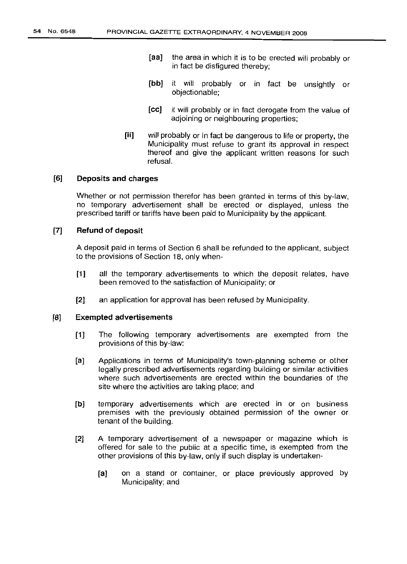- [aa] the area in which it is to be erected will probably or in fact be disfigured thereby;
- [bb] it will probably or in fact be unsightly or objectionable;
- [ee] it will probably or in fact derogate from the value of adjoining or neighbouring properties;
- [ii] will probably or in fact be dangerous to life or property, the Municipality must refuse to grant its approval in respect thereof and give the applicant written reasons for such refusal.

# [6] Deposits and charges

Whether or not permission therefor has been granted in terms of this by-law, no temporary advertisement shall be erected or displayed, unless the prescribed tariff or tariffs have been paid to Municipality by the applicant.

#### [7] Refund of deposit

A deposit paid in terms of Section 6 shall be refunded to the applicant, subject to the provisions of Section 18, only when-

- [1] all the temporary advertisements to which the deposit relates, have been removed to the satisfaction of Municipality; or
- [2] an application for approval has been refused by Municipality.

# [8] Exempted advertisements

- [1] The following temporary advertisements are exempted from the provisions of this by-law:
- [a] Applications in terms of Municipality's town-planning scheme or other legally prescribed advertisements regarding building or similar activities where such advertisements are erected within the boundaries of the site where the activities are taking place; and
- [b] temporary advertisements which are erected in or on business premises with the previously obtained permission of the owner or tenant of the building.
- [2] A temporary advertisement of a newspaper or magazine which is offered for sale to the public at a specific time, is exempted from the other provisions of this by-law, only if such display is undertaken-
	- [a] on a stand or container, or place previously approved by Municipality; and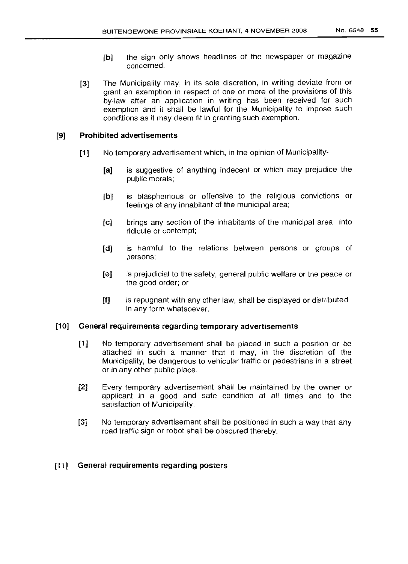- [b] the sign only shows headlines of the newspaper or magazine concerned.
- [3] The Municipality may, in its sole discretion, in writing deviate from or grant an exemption in respect of one or more of the provisions of this by-law after an application in writing has been received for such exemption and it shall be lawful for the Municipality to impose such conditions as it may deem fit in granting such exemption.

# [9] Prohibited advertisements

- [1] No temporary advertisement which, in the opinion of Municipality-
	- [a] is suggestive of anything indecent or which may prejudice the public morals;
	- [b] is blasphemous or offensive to the religious convictions or feelings of any inhabitant of the municipal area;
	- [c] brings any section of the inhabitants of the municipal area into ridicule or contempt;
	- [d] is harmful to the relations between persons or groups of persons;
	- [e] is prejudicial to the safety, general public welfare or the peace or the good order; or
	- [1] is repugnant with any other law, shall be displayed or distributed in any form whatsoever.

# [10] General requirements regarding temporary advertisements

- [1] No temporary advertisement shall be placed in such a position or be attached in such a manner that it may, in the discretion of the Municipality, be dangerous to vehicular traffic or pedestrians in a street or in any other public place.
- [2] Every temporary advertisement shall be maintained by the owner or applicant in a good and safe condition at all times and to the satisfaction of Municipality.
- [3] No temporary advertisement shall be positioned in such a way that any road traffic sign or robot shall be obscured thereby.

# [11] General requirements regarding posters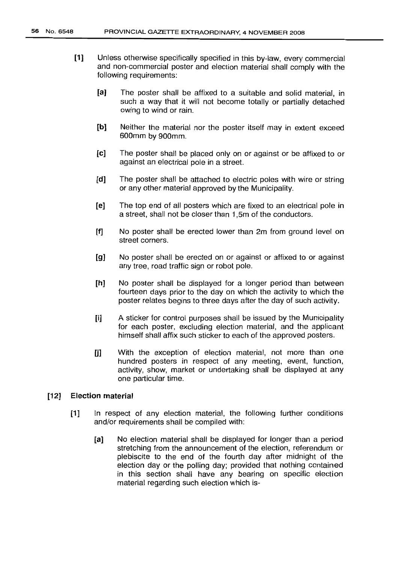- [1] Unless otherwise specifically specified in this by-law, every commercial and non-commercial poster and election material shall comply with the following requirements:
	- [a] The poster shall be affixed to a suitable and solid material, in such a way that it will not become totally or partially detached owing to wind or rain.
	- [b] Neither the material nor the poster itself may in extent exceed 600mm by 900mm.
	- [e) The poster shall be placed only on or against or be affixed to or against an electrical pole in a street.
	- [d) The poster shall be attached to electric poles with wire or string or any other material approved by the Municipality.
	- [e) The top end of all posters which are fixed to an electrical pole in a street, shall not be closer than 1,5m of the conductors.
	- [f) No poster shall be erected lower than 2m from ground level on street corners.
	- [9] No poster shall be erected on or against or affixed to or against any tree, road traffic sign or robot pole.
	- [h] No poster shall be displayed for a longer period than between fourteen days prior to the day on which the activity to which the poster relates begins to three days after the day of such activity.
	- [i) A sticker for control purposes shall be issued by the Municipality for each poster, excluding election material, and the applicant himself shall affix such sticker to each of the approved posters.
	- [j] With the exception of election material, not more than one hundred posters in respect of any meeting, event, function, activity, show, market or undertaking shall be displayed at any one particular time.

# [12] Election material

- [1] In respect of any election material, the following further conditions and/or requirements shall be compiled with:
	- [a] No election material shall be displayed for longer than a period stretching from the announcement of the election, referendum or plebiscite to the end of the fourth day after midnight of the election day or the polling day; provided that nothing contained in this section shall have any bearing on specific election material regarding such election which is-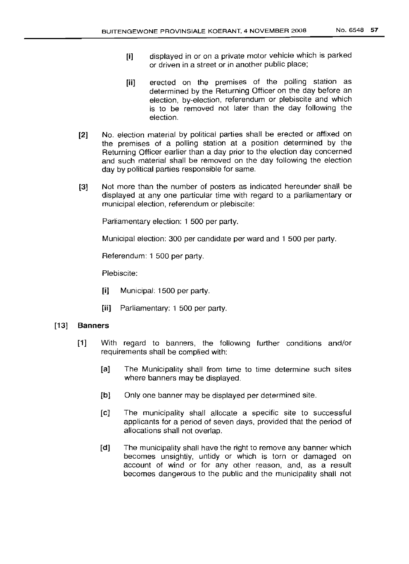- **[i]** displayed in or on a private motor vehicle which is parked or driven in a street or in another public place;
- **[ii]** erected on the premises of the polling station as determined by the Returning Officer on the day before an election, by-election, referendum or plebiscite and which is to be removed not later than the day following the election.
- **[2]** No. election material by political parties shall be erected or affixed on the premises of a polling station at a position determined by the Returning Officer earlier than a day prior to the election day concerned and such material shall be removed on the day following the election day by political parties responsible for same.
- **[3]** Not more than the number of posters as indicated hereunder shall be displayed at anyone particular time with regard to a parliamentary or municipal election, referendum or plebiscite:

Parliamentary election: 1 500 per party.

Municipal election: 300 per candidate per ward and 1 500 per party.

Referendum: 1 500 per party.

Plebiscite:

- **[i]** Municipal: 1500 per party.
- **[ii]** Parliamentary: 1 500 per party.

# **[13] Banners**

- [1] With regard to banners, the following further conditions and/or requirements shall be complied with:
	- **[a]** The Municipality shall from time to time determine such sites where banners may be displayed.
	- [b] Only one banner may be displayed per determined site.
	- [c] The municipality shall allocate a specific site to successful applicants for a period of seven days, provided that the period of allocations shall not overlap.
	- **[d]** The municipality shall have the right to remove any banner which becomes unsightly, untidy or which is torn or damaged on account of wind or for any other reason, and, as a result becomes dangerous to the public and the municipality shall not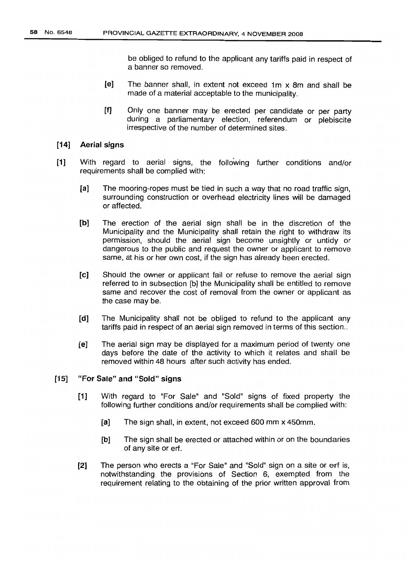be obliged to refund to the applicant any tariffs paid in respect of a banner so removed.

- [e] The banner shall, in extent not exceed 1m x 8m and shall be made of a material acceptable to the municipality.
- (f] Only one banner may be erected per candidate or per party during a parliamentary election, referendum or plebiscite irrespective of the number of determined sites.

#### (14] Aerial signs

- [1] With regard to aerial signs, the following further conditions and/or requirements shall be complied with:
	- [a] The mooring-ropes must be tied in such a way that no road traffic sign, surrounding construction or overhead electricity lines will be damaged or affected.
	- [b] The erection of the aerial sign shall be in the discretion of the Municipality and the Municipality shall retain the right to withdraw its permission, should the aerial sign become unsightly or untidy or dangerous to the public and request the owner or applicant to remove same, at his or her own cost, if the sign has already been erected.
	- [c] Should the owner or applicant fail or refuse to remove the aerial sign referred to in subsection [b] the Municipality shall be entitled to remove same and recover the cost of removal from the owner or applicant as the case may be.
	- [d] The Municipality shall not be obliged to refund to the applicant any tariffs paid in respect of an aerial sign removed in terms of this section..
	- [e] The aerial sign may be displayed for a maximum period of twenty one days before the date of the activity to which it relates and shall be removed within 48 hours after such activity has ended.

# [15] "For Sale" and "Sold" signs

- [1] With regard to "For Sale" and "Sold" signs of fixed property the following further conditions and/or requirements shall be complied with:
	- [a] The sign shall, in extent, not exceed *600* mm x 450mm.
	- [b] The sign shall be erected or attached within or on the boundaries of any site or erf.
- [2] The person who erects a "For Sale" and "Sold" sign on a site or erf is, notwithstanding the provisions of Section 6, exempted from the requirement relating to the obtaining of the prior written approval from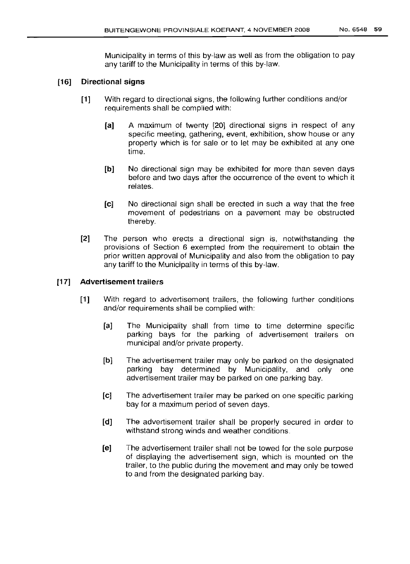Municipality in terms of this by-law as well as from the obligation to pay any tariff to the Municipality in terms of this by-law.

# [16] Directional signs

- [1] With regard to directional signs, the following further conditions and/or requirements shall be complied with:
	- [a] A maximum of twenty [20] directional signs in respect of any specific meeting, gathering, event, exhibition, show house or any property which is for sale or to let may be exhibited at anyone time.
	- [b] No directional sign may be exhibited for more than seven days before and two days after the occurrence of the event to which it relates.
	- [c] No directional sign shall be erected in such a way that the free movement of pedestrians on a pavement may be obstructed thereby.
- [2] The person who erects a directional sign is, notwithstanding the provisions of Section 6 exempted from the requirement to obtain the prior written approval of Municipality and also from the obligation to pay any tariff to the Municipality in terms of this by-law.

# [17] Advertisement trailers

- [1] With regard to advertisement trailers, the following further conditions and/or requirements shall be complied with:
	- [a] The Municipality shall from time to time determine specific parking bays for the parking of advertisement trailers on municipal and/or private property.
	- [b] The advertisement trailer may only be parked on the designated parking bay determined by Municipality, and only one advertisement trailer may be parked on one parking bay.
	- [c] The advertisement trailer may be parked on one specific parking bay for a maximum period of seven days.
	- [d] The advertisement trailer shall be properly secured in order to withstand strong winds and weather conditions.
	- [e] The advertisement trailer shall not be towed for the sole purpose of displaying the advertisement sign, which is mounted on the trailer, to the public during the movement and may only be towed to and from the designated parking bay.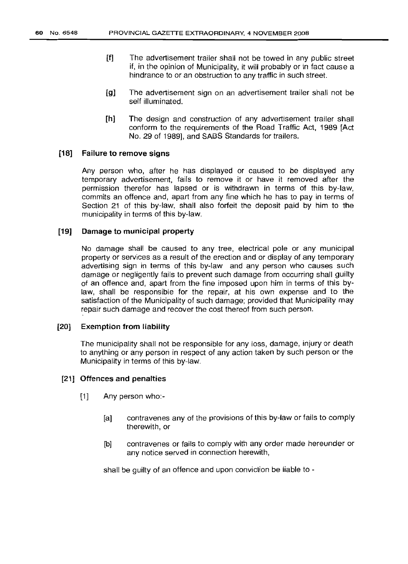- [f] The advertisement trailer shall not be towed in any public street if, in the opinion of Municipality, it will probably or in fact cause a hindrance to or an obstruction to any traffic in such street.
- [g] The advertisement sign on an advertisement trailer shall not be self illuminated.
- [h] The design and construction of any advertisement trailer shall conform to the requirements of the Road Traffic Act, 1989 [Act No. 29 of 1989], and SABS Standards for trailers.

### [18] Failure to remove signs

Any person who, after he has displayed or caused to be displayed any temporary advertisement, fails to remove it or have it removed after the permission therefor has lapsed or is withdrawn in terms of this by-law, commits an offence and, apart from any fine which he has to pay in terms of Section 21 of this by-law, shall also forfeit the deposit paid by him to the municipality in terms of this by-law.

#### [19] Damage to municipal property

No damage shall be caused to any tree, electrical pole or any municipal property or services as a result of the erection and or display of any temporary advertising sign in terms of this by-law and any person who causes such damage or negligently fails to prevent such damage from occurring shall guilty of an offence and, apart from the fine imposed upon him in terms of this bylaw, shall be responsible for the repair, at his own expense and to the satisfaction of the Municipality of such damage; provided that Municipality may repair such damage and recover the cost thereof from such person.

#### [20] Exemption from liability

The municipality shall not be responsible for any loss, damage, injury or death to anything or any person in respect of any action taken by such person or the Municipality in terms of this by-law.

#### [21] Offences and penalties

- [1] Any person who:-
	- [a] contravenes any of the provisions of this by-law or fails to comply therewith, or
	- [b] contravenes or fails to comply with any order made hereunder or any notice served in connection herewith,

shall be guilty of an offence and upon conviction be liable to -